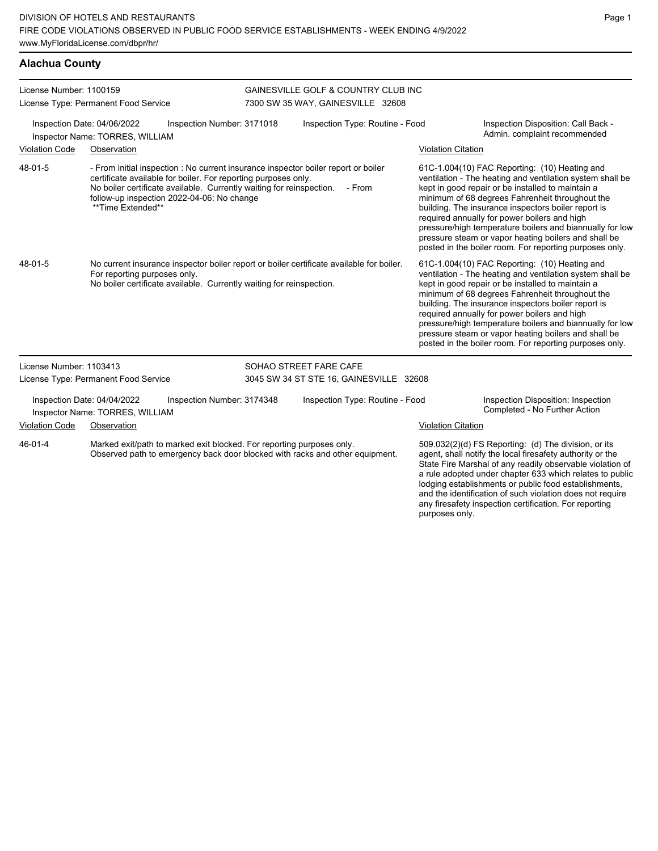|  | Alachua County |  |  |
|--|----------------|--|--|
|  |                |  |  |

| License Number: 1100159<br>License Type: Permanent Food Service |                                                                |                                                                                                                                                                                      | <b>GAINESVILLE GOLF &amp; COUNTRY CLUB INC</b><br>7300 SW 35 WAY, GAINESVILLE 32608 |                                                                                              |                           |                                                                                                                                                                                                                                                                                                                                                                                                                                                                                                          |  |
|-----------------------------------------------------------------|----------------------------------------------------------------|--------------------------------------------------------------------------------------------------------------------------------------------------------------------------------------|-------------------------------------------------------------------------------------|----------------------------------------------------------------------------------------------|---------------------------|----------------------------------------------------------------------------------------------------------------------------------------------------------------------------------------------------------------------------------------------------------------------------------------------------------------------------------------------------------------------------------------------------------------------------------------------------------------------------------------------------------|--|
|                                                                 | Inspection Date: 04/06/2022<br>Inspector Name: TORRES, WILLIAM | Inspection Number: 3171018                                                                                                                                                           |                                                                                     | Inspection Type: Routine - Food                                                              |                           | Inspection Disposition: Call Back -<br>Admin. complaint recommended                                                                                                                                                                                                                                                                                                                                                                                                                                      |  |
| <b>Violation Code</b>                                           | Observation                                                    |                                                                                                                                                                                      |                                                                                     |                                                                                              | <b>Violation Citation</b> |                                                                                                                                                                                                                                                                                                                                                                                                                                                                                                          |  |
| 48-01-5                                                         | **Time Extended**                                              | certificate available for boiler. For reporting purposes only.<br>No boiler certificate available. Currently waiting for reinspection.<br>follow-up inspection 2022-04-06: No change |                                                                                     | - From initial inspection : No current insurance inspector boiler report or boiler<br>- From |                           | 61C-1.004(10) FAC Reporting: (10) Heating and<br>ventilation - The heating and ventilation system shall be<br>kept in good repair or be installed to maintain a<br>minimum of 68 degrees Fahrenheit throughout the<br>building. The insurance inspectors boiler report is<br>required annually for power boilers and high<br>pressure/high temperature boilers and biannually for low<br>pressure steam or vapor heating boilers and shall be<br>posted in the boiler room. For reporting purposes only. |  |
| 48-01-5                                                         | For reporting purposes only.                                   | No boiler certificate available. Currently waiting for reinspection.                                                                                                                 |                                                                                     | No current insurance inspector boiler report or boiler certificate available for boiler.     |                           | 61C-1.004(10) FAC Reporting: (10) Heating and<br>ventilation - The heating and ventilation system shall be<br>kept in good repair or be installed to maintain a<br>minimum of 68 degrees Fahrenheit throughout the<br>building. The insurance inspectors boiler report is<br>required annually for power boilers and high<br>pressure/high temperature boilers and biannually for low<br>pressure steam or vapor heating boilers and shall be<br>posted in the boiler room. For reporting purposes only. |  |
| License Number: 1103413                                         |                                                                |                                                                                                                                                                                      |                                                                                     | SOHAO STREET FARE CAFE                                                                       |                           |                                                                                                                                                                                                                                                                                                                                                                                                                                                                                                          |  |
|                                                                 | License Type: Permanent Food Service                           |                                                                                                                                                                                      |                                                                                     | 3045 SW 34 ST STE 16, GAINESVILLE 32608                                                      |                           |                                                                                                                                                                                                                                                                                                                                                                                                                                                                                                          |  |
|                                                                 | Inspection Date: 04/04/2022<br>Inspector Name: TORRES, WILLIAM | Inspection Number: 3174348                                                                                                                                                           |                                                                                     | Inspection Type: Routine - Food                                                              |                           | Inspection Disposition: Inspection<br>Completed - No Further Action                                                                                                                                                                                                                                                                                                                                                                                                                                      |  |
| <b>Violation Code</b>                                           | Observation                                                    |                                                                                                                                                                                      |                                                                                     |                                                                                              | <b>Violation Citation</b> |                                                                                                                                                                                                                                                                                                                                                                                                                                                                                                          |  |
| $46 - 01 - 4$                                                   |                                                                | Marked exit/path to marked exit blocked. For reporting purposes only.                                                                                                                |                                                                                     | Observed path to emergency back door blocked with racks and other equipment.                 |                           | 509.032(2)(d) FS Reporting: (d) The division, or its<br>agent, shall notify the local firesafety authority or the<br>State Fire Marshal of any readily observable violation of<br>a rule adopted under chapter 633 which relates to public<br>lodging establishments or public food establishments,<br>and the identification of such violation does not require<br>any firesafety inspection certification. For reporting                                                                               |  |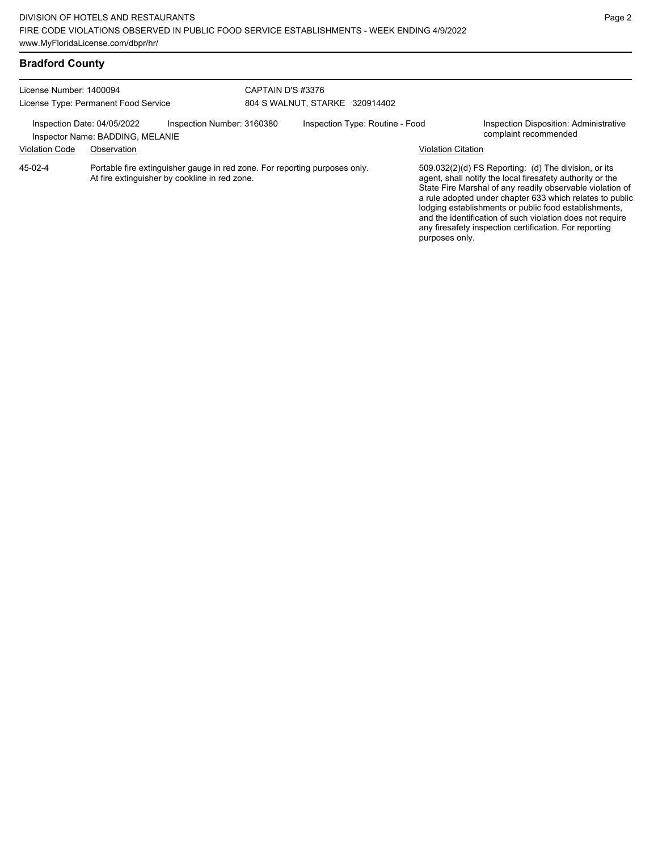# **Bradford County**

| License Number: 1400094<br>License Type: Permanent Food Service |                                                                 | CAPTAIN D'S #3376                                                                                                           | 804 S WALNUT, STARKE 320914402 |                                 |                           |                                                                                                                                                                                                                                                                                                                                                                                                                            |
|-----------------------------------------------------------------|-----------------------------------------------------------------|-----------------------------------------------------------------------------------------------------------------------------|--------------------------------|---------------------------------|---------------------------|----------------------------------------------------------------------------------------------------------------------------------------------------------------------------------------------------------------------------------------------------------------------------------------------------------------------------------------------------------------------------------------------------------------------------|
|                                                                 | Inspection Date: 04/05/2022<br>Inspector Name: BADDING, MELANIE | Inspection Number: 3160380                                                                                                  |                                | Inspection Type: Routine - Food |                           | Inspection Disposition: Administrative<br>complaint recommended                                                                                                                                                                                                                                                                                                                                                            |
| <b>Violation Code</b>                                           | Observation                                                     |                                                                                                                             |                                |                                 | <b>Violation Citation</b> |                                                                                                                                                                                                                                                                                                                                                                                                                            |
| 45-02-4                                                         |                                                                 | Portable fire extinguisher gauge in red zone. For reporting purposes only.<br>At fire extinguisher by cookline in red zone. |                                |                                 | purposes only.            | 509.032(2)(d) FS Reporting: (d) The division, or its<br>agent, shall notify the local firesafety authority or the<br>State Fire Marshal of any readily observable violation of<br>a rule adopted under chapter 633 which relates to public<br>lodging establishments or public food establishments,<br>and the identification of such violation does not require<br>any firesafety inspection certification. For reporting |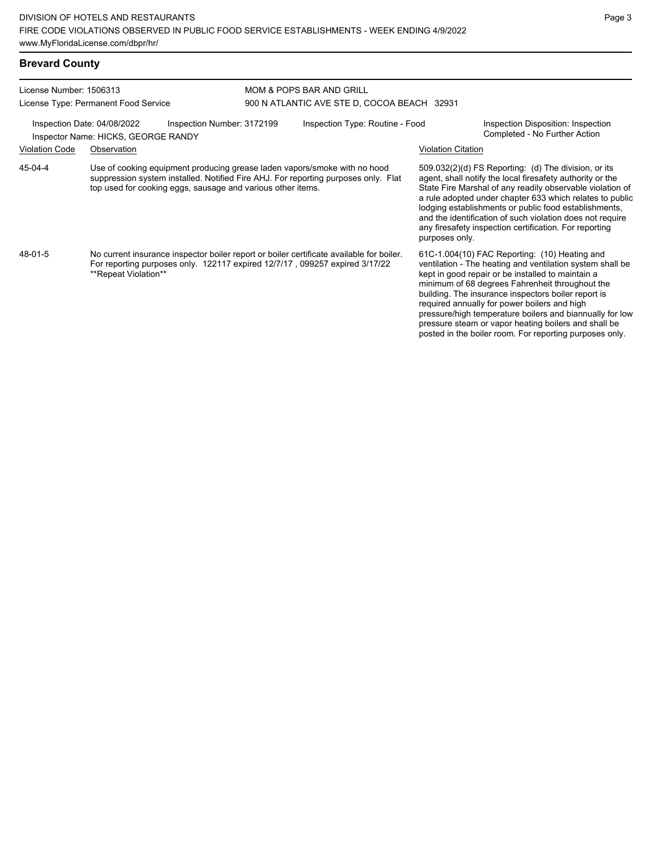| <b>Brevard County</b>   |                                                                                                                                                                                                                                |                                                                                                        |                                                                                                                                                                                                                                                                                                                                                                                                                                                                                                          |  |
|-------------------------|--------------------------------------------------------------------------------------------------------------------------------------------------------------------------------------------------------------------------------|--------------------------------------------------------------------------------------------------------|----------------------------------------------------------------------------------------------------------------------------------------------------------------------------------------------------------------------------------------------------------------------------------------------------------------------------------------------------------------------------------------------------------------------------------------------------------------------------------------------------------|--|
| License Number: 1506313 |                                                                                                                                                                                                                                | MOM & POPS BAR AND GRILL                                                                               |                                                                                                                                                                                                                                                                                                                                                                                                                                                                                                          |  |
|                         | License Type: Permanent Food Service                                                                                                                                                                                           | 900 N ATLANTIC AVE STE D, COCOA BEACH 32931                                                            |                                                                                                                                                                                                                                                                                                                                                                                                                                                                                                          |  |
|                         | Inspection Number: 3172199<br>Inspection Date: 04/08/2022<br>Inspector Name: HICKS, GEORGE RANDY                                                                                                                               | Inspection Type: Routine - Food<br>Inspection Disposition: Inspection<br>Completed - No Further Action |                                                                                                                                                                                                                                                                                                                                                                                                                                                                                                          |  |
| <b>Violation Code</b>   | Observation                                                                                                                                                                                                                    |                                                                                                        | <b>Violation Citation</b>                                                                                                                                                                                                                                                                                                                                                                                                                                                                                |  |
| 45-04-4                 | Use of cooking equipment producing grease laden vapors/smoke with no hood<br>suppression system installed. Notified Fire AHJ. For reporting purposes only. Flat<br>top used for cooking eggs, sausage and various other items. |                                                                                                        | 509.032(2)(d) FS Reporting: (d) The division, or its<br>agent, shall notify the local firesafety authority or the<br>State Fire Marshal of any readily observable violation of<br>a rule adopted under chapter 633 which relates to public<br>lodging establishments or public food establishments,<br>and the identification of such violation does not require<br>any firesafety inspection certification. For reporting<br>purposes only.                                                             |  |
| 48-01-5                 | No current insurance inspector boiler report or boiler certificate available for boiler.<br>For reporting purposes only. 122117 expired 12/7/17, 099257 expired 3/17/22<br>**Repeat Violation**                                |                                                                                                        | 61C-1.004(10) FAC Reporting: (10) Heating and<br>ventilation - The heating and ventilation system shall be<br>kept in good repair or be installed to maintain a<br>minimum of 68 degrees Fahrenheit throughout the<br>building. The insurance inspectors boiler report is<br>required annually for power boilers and high<br>pressure/high temperature boilers and biannually for low<br>pressure steam or vapor heating boilers and shall be<br>posted in the boiler room. For reporting purposes only. |  |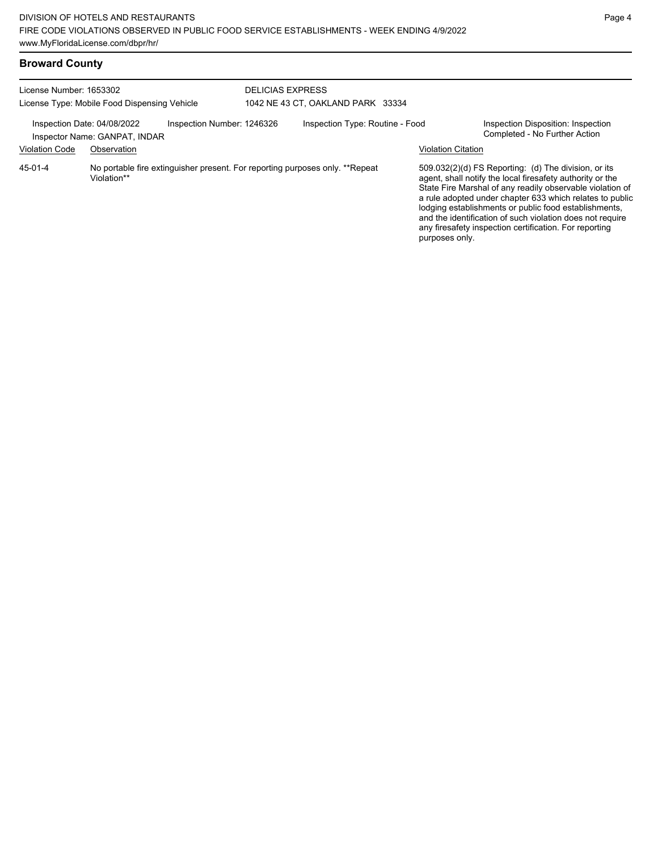| <b>Broward County</b>   |                                                                                            |                                                                              |                    |                                                                                                                                                                                                                                                                                                                                                                                                                            |
|-------------------------|--------------------------------------------------------------------------------------------|------------------------------------------------------------------------------|--------------------|----------------------------------------------------------------------------------------------------------------------------------------------------------------------------------------------------------------------------------------------------------------------------------------------------------------------------------------------------------------------------------------------------------------------------|
| License Number: 1653302 | License Type: Mobile Food Dispensing Vehicle                                               | <b>DELICIAS EXPRESS</b><br>1042 NE 43 CT, OAKLAND PARK 33334                 |                    |                                                                                                                                                                                                                                                                                                                                                                                                                            |
|                         | Inspection Number: 1246326<br>Inspection Date: 04/08/2022<br>Inspector Name: GANPAT, INDAR | Inspection Type: Routine - Food                                              |                    | Inspection Disposition: Inspection<br>Completed - No Further Action                                                                                                                                                                                                                                                                                                                                                        |
| <b>Violation Code</b>   | Observation                                                                                |                                                                              | Violation Citation |                                                                                                                                                                                                                                                                                                                                                                                                                            |
| 45-01-4                 | Violation**                                                                                | No portable fire extinguisher present. For reporting purposes only. **Repeat |                    | 509.032(2)(d) FS Reporting: (d) The division, or its<br>agent, shall notify the local firesafety authority or the<br>State Fire Marshal of any readily observable violation of<br>a rule adopted under chapter 633 which relates to public<br>lodging establishments or public food establishments,<br>and the identification of such violation does not require<br>any firesafety inspection certification. For reporting |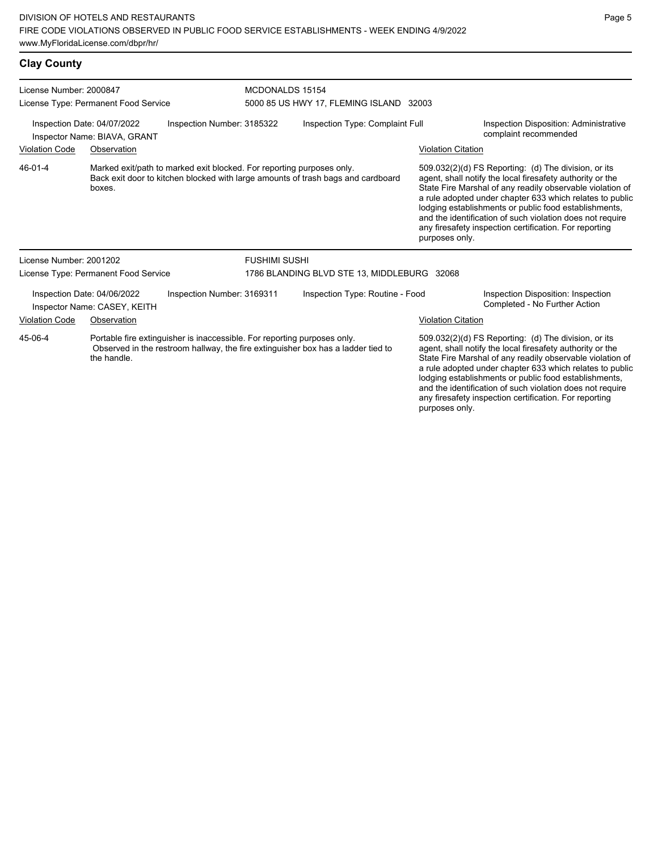| <b>Clay County</b>                                                                                                                                                                     |                                                             |                                                                       |                                             |                                                                                  |                                                                                                                                                                                |                                                                                                                                                                                                                                                                                                                                                                                                                            |
|----------------------------------------------------------------------------------------------------------------------------------------------------------------------------------------|-------------------------------------------------------------|-----------------------------------------------------------------------|---------------------------------------------|----------------------------------------------------------------------------------|--------------------------------------------------------------------------------------------------------------------------------------------------------------------------------|----------------------------------------------------------------------------------------------------------------------------------------------------------------------------------------------------------------------------------------------------------------------------------------------------------------------------------------------------------------------------------------------------------------------------|
| License Number: 2000847                                                                                                                                                                | License Type: Permanent Food Service                        |                                                                       | MCDONALDS 15154                             | 5000 85 US HWY 17, FLEMING ISLAND 32003                                          |                                                                                                                                                                                |                                                                                                                                                                                                                                                                                                                                                                                                                            |
| Inspection Number: 3185322<br>Inspection Date: 04/07/2022<br>Inspector Name: BIAVA, GRANT                                                                                              |                                                             |                                                                       | Inspection Type: Complaint Full             |                                                                                  | Inspection Disposition: Administrative<br>complaint recommended                                                                                                                |                                                                                                                                                                                                                                                                                                                                                                                                                            |
| <b>Violation Code</b>                                                                                                                                                                  | Observation                                                 |                                                                       |                                             |                                                                                  | <b>Violation Citation</b>                                                                                                                                                      |                                                                                                                                                                                                                                                                                                                                                                                                                            |
| 46-01-4                                                                                                                                                                                | boxes.                                                      | Marked exit/path to marked exit blocked. For reporting purposes only. |                                             | Back exit door to kitchen blocked with large amounts of trash bags and cardboard | purposes only.                                                                                                                                                                 | 509.032(2)(d) FS Reporting: (d) The division, or its<br>agent, shall notify the local firesafety authority or the<br>State Fire Marshal of any readily observable violation of<br>a rule adopted under chapter 633 which relates to public<br>lodging establishments or public food establishments,<br>and the identification of such violation does not require<br>any firesafety inspection certification. For reporting |
| License Number: 2001202                                                                                                                                                                |                                                             |                                                                       | <b>FUSHIMI SUSHI</b>                        |                                                                                  |                                                                                                                                                                                |                                                                                                                                                                                                                                                                                                                                                                                                                            |
|                                                                                                                                                                                        | License Type: Permanent Food Service                        |                                                                       | 1786 BLANDING BLVD STE 13, MIDDLEBURG 32068 |                                                                                  |                                                                                                                                                                                |                                                                                                                                                                                                                                                                                                                                                                                                                            |
|                                                                                                                                                                                        | Inspection Date: 04/06/2022<br>Inspector Name: CASEY, KEITH | Inspection Number: 3169311                                            |                                             | Inspection Type: Routine - Food                                                  |                                                                                                                                                                                | Inspection Disposition: Inspection<br>Completed - No Further Action                                                                                                                                                                                                                                                                                                                                                        |
| <b>Violation Code</b>                                                                                                                                                                  | Observation                                                 |                                                                       |                                             |                                                                                  | <b>Violation Citation</b>                                                                                                                                                      |                                                                                                                                                                                                                                                                                                                                                                                                                            |
| 45-06-4<br>Portable fire extinguisher is inaccessible. For reporting purposes only.<br>Observed in the restroom hallway, the fire extinguisher box has a ladder tied to<br>the handle. |                                                             |                                                                       |                                             |                                                                                  | 509.032(2)(d) FS Reporting: (d) The division, or its<br>agent, shall notify the local firesafety authority or the<br>State Fire Marshal of any readily observable violation of |                                                                                                                                                                                                                                                                                                                                                                                                                            |

State Fire Marshal of any readily observable violation of a rule adopted under chapter 633 which relates to public lodging establishments or public food establishments, and the identification of such violation does not require any firesafety inspection certification. For reporting purposes only.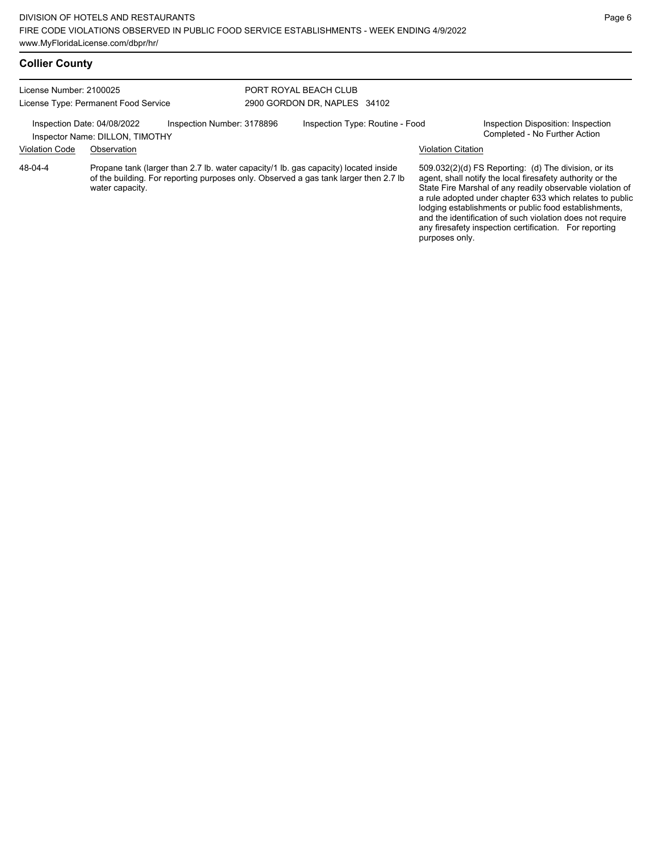| <b>Collier County</b>   |                                                                |                            |                                                                                     |                           |                                                                     |
|-------------------------|----------------------------------------------------------------|----------------------------|-------------------------------------------------------------------------------------|---------------------------|---------------------------------------------------------------------|
| License Number: 2100025 |                                                                |                            | PORT ROYAL BEACH CLUB                                                               |                           |                                                                     |
|                         | License Type: Permanent Food Service                           |                            | 2900 GORDON DR, NAPLES 34102                                                        |                           |                                                                     |
|                         | Inspection Date: 04/08/2022<br>Inspector Name: DILLON, TIMOTHY | Inspection Number: 3178896 | Inspection Type: Routine - Food                                                     |                           | Inspection Disposition: Inspection<br>Completed - No Further Action |
| <b>Violation Code</b>   | Observation                                                    |                            |                                                                                     | <b>Violation Citation</b> |                                                                     |
| $48 - 04 - 4$           |                                                                |                            | Propane tank (larger than 2.7 lb, water capacity/1 lb, gas capacity) located inside |                           | 509 032(2)(d) ES Reporting (d) The division or its                  |

Propane tank (larger than 2.7 lb. water capacity/1 lb. gas capacity) located inside of the building. For reporting purposes only. Observed a gas tank larger then 2.7 lb water capacity.

509.032(2)(d) FS Reporting: (d) The division, or its agent, shall notify the local firesafety authority or the State Fire Marshal of any readily observable violation of a rule adopted under chapter 633 which relates to public lodging establishments or public food establishments, and the identification of such violation does not require any firesafety inspection certification. For reporting purposes only.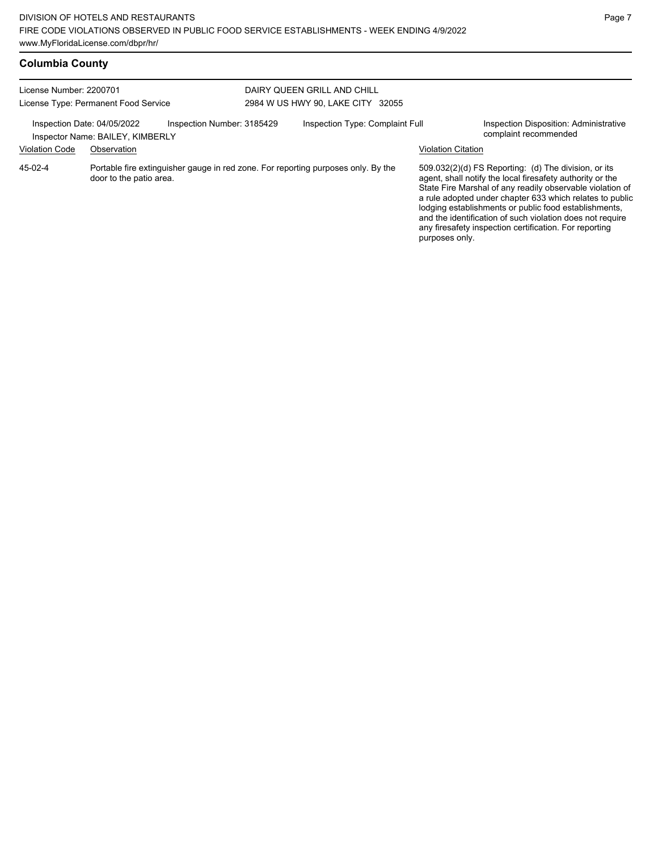| <b>Columbia County</b> |  |
|------------------------|--|
|                        |  |

| License Number: 2200701                              | License Type: Permanent Food Service            |                            | DAIRY QUEEN GRILL AND CHILL<br>2984 W US HWY 90, LAKE CITY 32055                  |                           |                                                                                                                                                                                                                                                                                                                                                                                                                            |
|------------------------------------------------------|-------------------------------------------------|----------------------------|-----------------------------------------------------------------------------------|---------------------------|----------------------------------------------------------------------------------------------------------------------------------------------------------------------------------------------------------------------------------------------------------------------------------------------------------------------------------------------------------------------------------------------------------------------------|
| Inspection Date: 04/05/2022<br><b>Violation Code</b> | Inspector Name: BAILEY, KIMBERLY<br>Observation | Inspection Number: 3185429 | Inspection Type: Complaint Full                                                   | <b>Violation Citation</b> | Inspection Disposition: Administrative<br>complaint recommended                                                                                                                                                                                                                                                                                                                                                            |
| 45-02-4                                              | door to the patio area.                         |                            | Portable fire extinguisher gauge in red zone. For reporting purposes only. By the | purposes only.            | 509.032(2)(d) FS Reporting: (d) The division, or its<br>agent, shall notify the local firesafety authority or the<br>State Fire Marshal of any readily observable violation of<br>a rule adopted under chapter 633 which relates to public<br>lodging establishments or public food establishments,<br>and the identification of such violation does not require<br>any firesafety inspection certification. For reporting |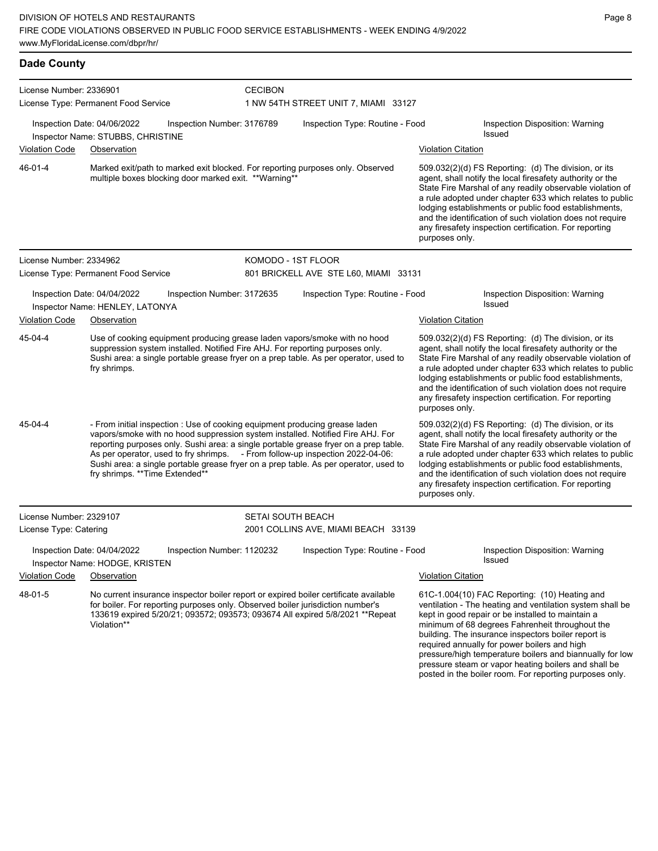| <b>Dade County</b>      |                                                                                                                                                                                                                                                                                                                                        |                |                                       |                           |                                                                                                                                                                                                                                                                                                                                                                                                                            |
|-------------------------|----------------------------------------------------------------------------------------------------------------------------------------------------------------------------------------------------------------------------------------------------------------------------------------------------------------------------------------|----------------|---------------------------------------|---------------------------|----------------------------------------------------------------------------------------------------------------------------------------------------------------------------------------------------------------------------------------------------------------------------------------------------------------------------------------------------------------------------------------------------------------------------|
| License Number: 2336901 |                                                                                                                                                                                                                                                                                                                                        | <b>CECIBON</b> |                                       |                           |                                                                                                                                                                                                                                                                                                                                                                                                                            |
|                         | License Type: Permanent Food Service                                                                                                                                                                                                                                                                                                   |                | 1 NW 54TH STREET UNIT 7, MIAMI 33127  |                           |                                                                                                                                                                                                                                                                                                                                                                                                                            |
|                         | Inspection Number: 3176789<br>Inspection Date: 04/06/2022<br>Inspector Name: STUBBS, CHRISTINE                                                                                                                                                                                                                                         |                | Inspection Type: Routine - Food       |                           | Inspection Disposition: Warning<br>Issued                                                                                                                                                                                                                                                                                                                                                                                  |
| <b>Violation Code</b>   | Observation                                                                                                                                                                                                                                                                                                                            |                |                                       | <b>Violation Citation</b> |                                                                                                                                                                                                                                                                                                                                                                                                                            |
| 46-01-4                 | Marked exit/path to marked exit blocked. For reporting purposes only. Observed<br>multiple boxes blocking door marked exit. **Warning**                                                                                                                                                                                                |                |                                       | purposes only.            | 509.032(2)(d) FS Reporting: (d) The division, or its<br>agent, shall notify the local firesafety authority or the<br>State Fire Marshal of any readily observable violation of<br>a rule adopted under chapter 633 which relates to public<br>lodging establishments or public food establishments,<br>and the identification of such violation does not require<br>any firesafety inspection certification. For reporting |
| License Number: 2334962 |                                                                                                                                                                                                                                                                                                                                        |                | KOMODO - 1ST FLOOR                    |                           |                                                                                                                                                                                                                                                                                                                                                                                                                            |
|                         | License Type: Permanent Food Service                                                                                                                                                                                                                                                                                                   |                | 801 BRICKELL AVE STE L60, MIAMI 33131 |                           |                                                                                                                                                                                                                                                                                                                                                                                                                            |
|                         | Inspection Date: 04/04/2022<br>Inspection Number: 3172635<br>Inspector Name: HENLEY, LATONYA                                                                                                                                                                                                                                           |                | Inspection Type: Routine - Food       |                           | Inspection Disposition: Warning<br>Issued                                                                                                                                                                                                                                                                                                                                                                                  |
| <b>Violation Code</b>   | Observation                                                                                                                                                                                                                                                                                                                            |                |                                       | <b>Violation Citation</b> |                                                                                                                                                                                                                                                                                                                                                                                                                            |
| 45-04-4                 | Use of cooking equipment producing grease laden vapors/smoke with no hood<br>suppression system installed. Notified Fire AHJ. For reporting purposes only.<br>Sushi area: a single portable grease fryer on a prep table. As per operator, used to<br>fry shrimps.                                                                     |                |                                       | purposes only.            | 509.032(2)(d) FS Reporting: (d) The division, or its<br>agent, shall notify the local firesafety authority or the<br>State Fire Marshal of any readily observable violation of<br>a rule adopted under chapter 633 which relates to public<br>lodging establishments or public food establishments,<br>and the identification of such violation does not require<br>any firesafety inspection certification. For reporting |
| 45-04-4                 | - From initial inspection : Use of cooking equipment producing grease laden<br>vapors/smoke with no hood suppression system installed. Notified Fire AHJ. For<br>reporting purposes only. Sushi area: a single portable grease fryer on a prep table.<br>As per operator, used to fry shrimps. - From follow-up inspection 2022-04-06: |                |                                       |                           | 509.032(2)(d) FS Reporting: (d) The division, or its<br>agent, shall notify the local firesafety authority or the<br>State Fire Marshal of any readily observable violation of<br>a rule adopted under chapter 633 which relates to public                                                                                                                                                                                 |

purposes only. License Number: 2329107 License Type: Catering SETAI SOUTH BEACH 2001 COLLINS AVE, MIAMI BEACH 33139 Inspection Date: 04/04/2022 Inspection Number: 1120232 Inspection Type: Routine - Food Inspection Disposition: Warning Inspector Name: HODGE, KRISTEN Violation Code Observation **Violation Citation** Violation Citation Citation No current insurance inspector boiler report or expired boiler certificate available for boiler. For reporting purposes only. Observed boiler jurisdiction number's 133619 expired 5/20/21; 093572; 093573; 093674 All expired 5/8/2021 \*\*Repeat 61C-1.004(10) FAC Reporting: (10) Heating and ventilation - The heating and ventilation system shall be 48-01-5

Sushi area: a single portable grease fryer on a prep table. As per operator, used to

fry shrimps. \*\*Time Extended\*\*

Violation\*\*

kept in good repair or be installed to maintain a minimum of 68 degrees Fahrenheit throughout the building. The insurance inspectors boiler report is required annually for power boilers and high pressure/high temperature boilers and biannually for low pressure steam or vapor heating boilers and shall be posted in the boiler room. For reporting purposes only.

lodging establishments or public food establishments, and the identification of such violation does not require any firesafety inspection certification. For reporting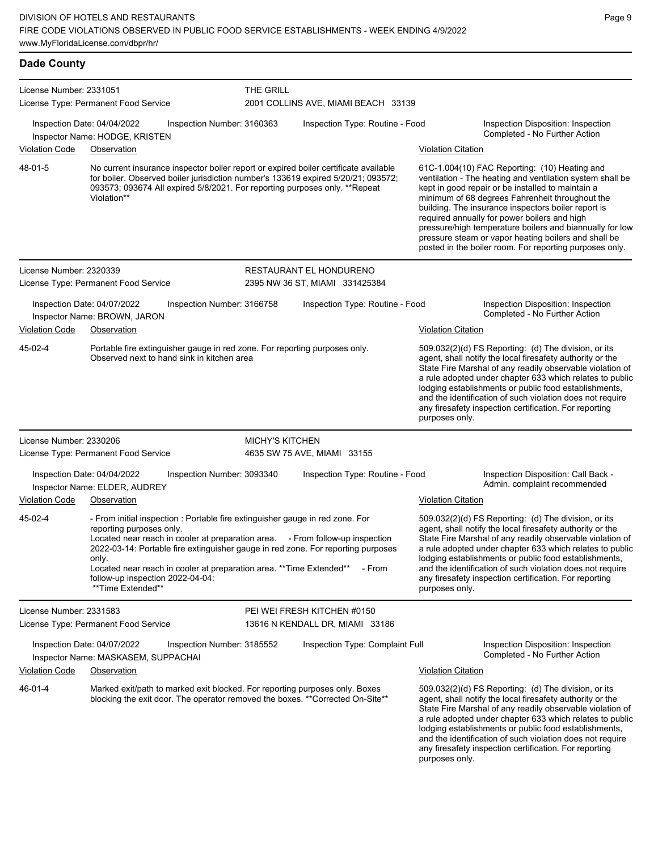| <b>Dade County</b>      |                                                                                                                                                                                                                                                                                                                                                                                                                          |                        |                                                           |                           |                                                                                                                                                                                                                                                                                                                                                                                                                                                                                                          |
|-------------------------|--------------------------------------------------------------------------------------------------------------------------------------------------------------------------------------------------------------------------------------------------------------------------------------------------------------------------------------------------------------------------------------------------------------------------|------------------------|-----------------------------------------------------------|---------------------------|----------------------------------------------------------------------------------------------------------------------------------------------------------------------------------------------------------------------------------------------------------------------------------------------------------------------------------------------------------------------------------------------------------------------------------------------------------------------------------------------------------|
| License Number: 2331051 | License Type: Permanent Food Service                                                                                                                                                                                                                                                                                                                                                                                     | THE GRILL              | 2001 COLLINS AVE, MIAMI BEACH 33139                       |                           |                                                                                                                                                                                                                                                                                                                                                                                                                                                                                                          |
|                         | Inspection Date: 04/04/2022<br>Inspection Number: 3160363<br>Inspector Name: HODGE, KRISTEN                                                                                                                                                                                                                                                                                                                              |                        | Inspection Type: Routine - Food                           |                           | Inspection Disposition: Inspection<br>Completed - No Further Action                                                                                                                                                                                                                                                                                                                                                                                                                                      |
| <b>Violation Code</b>   | Observation                                                                                                                                                                                                                                                                                                                                                                                                              |                        |                                                           | <b>Violation Citation</b> |                                                                                                                                                                                                                                                                                                                                                                                                                                                                                                          |
| 48-01-5                 | No current insurance inspector boiler report or expired boiler certificate available<br>for boiler. Observed boiler jurisdiction number's 133619 expired 5/20/21; 093572;<br>093573; 093674 All expired 5/8/2021. For reporting purposes only. ** Repeat<br>Violation**                                                                                                                                                  |                        |                                                           |                           | 61C-1.004(10) FAC Reporting: (10) Heating and<br>ventilation - The heating and ventilation system shall be<br>kept in good repair or be installed to maintain a<br>minimum of 68 degrees Fahrenheit throughout the<br>building. The insurance inspectors boiler report is<br>required annually for power boilers and high<br>pressure/high temperature boilers and biannually for low<br>pressure steam or vapor heating boilers and shall be<br>posted in the boiler room. For reporting purposes only. |
| License Number: 2320339 | License Type: Permanent Food Service                                                                                                                                                                                                                                                                                                                                                                                     |                        | RESTAURANT EL HONDURENO<br>2395 NW 36 ST, MIAMI 331425384 |                           |                                                                                                                                                                                                                                                                                                                                                                                                                                                                                                          |
|                         | Inspection Date: 04/07/2022<br>Inspection Number: 3166758<br>Inspector Name: BROWN, JARON                                                                                                                                                                                                                                                                                                                                |                        | Inspection Type: Routine - Food                           |                           | Inspection Disposition: Inspection<br>Completed - No Further Action                                                                                                                                                                                                                                                                                                                                                                                                                                      |
| <b>Violation Code</b>   | Observation                                                                                                                                                                                                                                                                                                                                                                                                              |                        |                                                           | <b>Violation Citation</b> |                                                                                                                                                                                                                                                                                                                                                                                                                                                                                                          |
| 45-02-4                 | Portable fire extinguisher gauge in red zone. For reporting purposes only.<br>Observed next to hand sink in kitchen area                                                                                                                                                                                                                                                                                                 |                        |                                                           | purposes only.            | 509.032(2)(d) FS Reporting: (d) The division, or its<br>agent, shall notify the local firesafety authority or the<br>State Fire Marshal of any readily observable violation of<br>a rule adopted under chapter 633 which relates to public<br>lodging establishments or public food establishments,<br>and the identification of such violation does not require<br>any firesafety inspection certification. For reporting                                                                               |
| License Number: 2330206 |                                                                                                                                                                                                                                                                                                                                                                                                                          | <b>MICHY'S KITCHEN</b> |                                                           |                           |                                                                                                                                                                                                                                                                                                                                                                                                                                                                                                          |
|                         | License Type: Permanent Food Service                                                                                                                                                                                                                                                                                                                                                                                     |                        | 4635 SW 75 AVE, MIAMI 33155                               |                           |                                                                                                                                                                                                                                                                                                                                                                                                                                                                                                          |
| Violation Code          | Inspection Date: 04/04/2022<br>Inspection Number: 3093340<br>Inspector Name: ELDER, AUDREY<br>Observation                                                                                                                                                                                                                                                                                                                |                        | Inspection Type: Routine - Food                           | Violation Citation        | Inspection Disposition: Call Back -<br>Admin. complaint recommended                                                                                                                                                                                                                                                                                                                                                                                                                                      |
| 45-02-4                 | - From initial inspection : Portable fire extinguisher gauge in red zone. For<br>reporting purposes only.<br>Located near reach in cooler at preparation area. - From follow-up inspection<br>2022-03-14: Portable fire extinguisher gauge in red zone. For reporting purposes<br>only.<br>Located near reach in cooler at preparation area. ** Time Extended**<br>follow-up inspection 2022-04-04:<br>**Time Extended** |                        | - From                                                    | purposes only.            | 509.032(2)(d) FS Reporting: (d) The division, or its<br>agent, shall notify the local firesafety authority or the<br>State Fire Marshal of any readily observable violation of<br>a rule adopted under chapter 633 which relates to public<br>lodging establishments or public food establishments,<br>and the identification of such violation does not require<br>any firesafety inspection certification. For reporting                                                                               |
| License Number: 2331583 |                                                                                                                                                                                                                                                                                                                                                                                                                          |                        | PEI WEI FRESH KITCHEN #0150                               |                           |                                                                                                                                                                                                                                                                                                                                                                                                                                                                                                          |
|                         | License Type: Permanent Food Service                                                                                                                                                                                                                                                                                                                                                                                     |                        | 13616 N KENDALL DR, MIAMI 33186                           |                           |                                                                                                                                                                                                                                                                                                                                                                                                                                                                                                          |
|                         | Inspection Date: 04/07/2022<br>Inspection Number: 3185552<br>Inspector Name: MASKASEM, SUPPACHAI                                                                                                                                                                                                                                                                                                                         |                        | Inspection Type: Complaint Full                           |                           | Inspection Disposition: Inspection<br>Completed - No Further Action                                                                                                                                                                                                                                                                                                                                                                                                                                      |
| <b>Violation Code</b>   | Observation                                                                                                                                                                                                                                                                                                                                                                                                              |                        |                                                           | <b>Violation Citation</b> |                                                                                                                                                                                                                                                                                                                                                                                                                                                                                                          |
| 46-01-4                 | Marked exit/path to marked exit blocked. For reporting purposes only. Boxes<br>blocking the exit door. The operator removed the boxes. ** Corrected On-Site**                                                                                                                                                                                                                                                            |                        |                                                           | purposes only.            | 509.032(2)(d) FS Reporting: (d) The division, or its<br>agent, shall notify the local firesafety authority or the<br>State Fire Marshal of any readily observable violation of<br>a rule adopted under chapter 633 which relates to public<br>lodging establishments or public food establishments,<br>and the identification of such violation does not require<br>any firesafety inspection certification. For reporting                                                                               |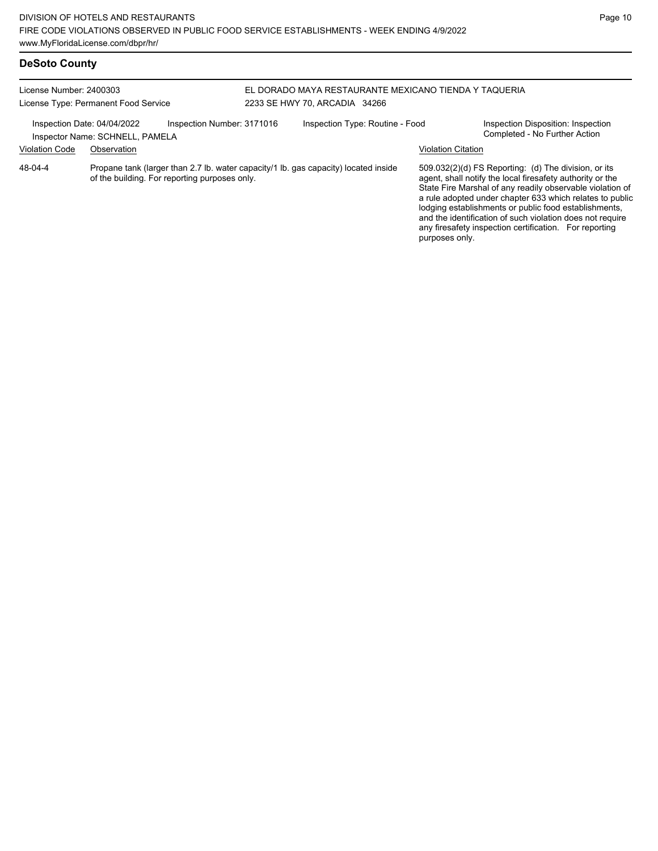# **DeSoto County**

| License Number: 2400303<br>License Type: Permanent Food Service |                                                                                                                                      | EL DORADO MAYA RESTAURANTE MEXICANO TIENDA Y TAQUERIA<br>2233 SE HWY 70, ARCADIA 34266 |                                 |                           |                                                                                                                                                                                                                                                                                                                                                                                                                            |
|-----------------------------------------------------------------|--------------------------------------------------------------------------------------------------------------------------------------|----------------------------------------------------------------------------------------|---------------------------------|---------------------------|----------------------------------------------------------------------------------------------------------------------------------------------------------------------------------------------------------------------------------------------------------------------------------------------------------------------------------------------------------------------------------------------------------------------------|
| <b>Violation Code</b>                                           | Inspection Date: 04/04/2022<br>Inspection Number: 3171016<br>Inspector Name: SCHNELL, PAMELA<br>Observation                          |                                                                                        | Inspection Type: Routine - Food | <b>Violation Citation</b> | Inspection Disposition: Inspection<br>Completed - No Further Action                                                                                                                                                                                                                                                                                                                                                        |
| 48-04-4                                                         | Propane tank (larger than 2.7 lb. water capacity/1 lb. gas capacity) located inside<br>of the building. For reporting purposes only. |                                                                                        |                                 | purposes only.            | 509.032(2)(d) FS Reporting: (d) The division, or its<br>agent, shall notify the local firesafety authority or the<br>State Fire Marshal of any readily observable violation of<br>a rule adopted under chapter 633 which relates to public<br>lodging establishments or public food establishments,<br>and the identification of such violation does not require<br>any firesafety inspection certification. For reporting |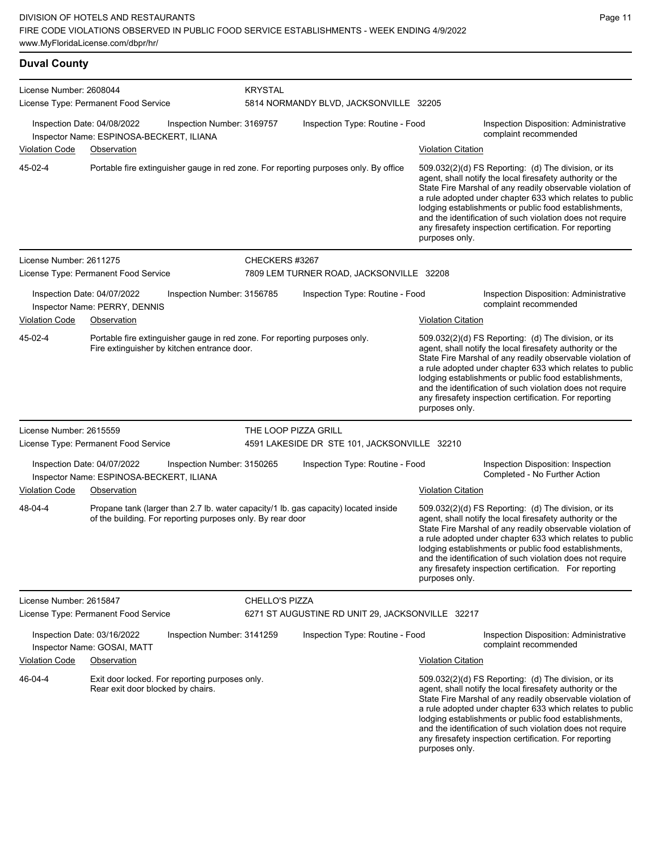| <b>Duval County</b>                                                                                                                  |                                                                                                                                                   |                       |                                                  |                                                                                                                                                                                                                                                                                                                                                                                                                                              |                                                                                                                                                                                                                                                                                                                                                                                                                            |  |  |  |
|--------------------------------------------------------------------------------------------------------------------------------------|---------------------------------------------------------------------------------------------------------------------------------------------------|-----------------------|--------------------------------------------------|----------------------------------------------------------------------------------------------------------------------------------------------------------------------------------------------------------------------------------------------------------------------------------------------------------------------------------------------------------------------------------------------------------------------------------------------|----------------------------------------------------------------------------------------------------------------------------------------------------------------------------------------------------------------------------------------------------------------------------------------------------------------------------------------------------------------------------------------------------------------------------|--|--|--|
| License Number: 2608044                                                                                                              | License Type: Permanent Food Service                                                                                                              | <b>KRYSTAL</b>        | 5814 NORMANDY BLVD, JACKSONVILLE 32205           |                                                                                                                                                                                                                                                                                                                                                                                                                                              |                                                                                                                                                                                                                                                                                                                                                                                                                            |  |  |  |
|                                                                                                                                      | Inspection Date: 04/08/2022<br>Inspection Number: 3169757<br>Inspector Name: ESPINOSA-BECKERT, ILIANA                                             |                       | Inspection Type: Routine - Food                  | <b>Violation Citation</b>                                                                                                                                                                                                                                                                                                                                                                                                                    | Inspection Disposition: Administrative<br>complaint recommended                                                                                                                                                                                                                                                                                                                                                            |  |  |  |
| <b>Violation Code</b><br>45-02-4                                                                                                     | Observation<br>Portable fire extinguisher gauge in red zone. For reporting purposes only. By office                                               |                       |                                                  | 509.032(2)(d) FS Reporting: (d) The division, or its<br>agent, shall notify the local firesafety authority or the<br>State Fire Marshal of any readily observable violation of<br>a rule adopted under chapter 633 which relates to public<br>lodging establishments or public food establishments,<br>and the identification of such violation does not require<br>any firesafety inspection certification. For reporting<br>purposes only. |                                                                                                                                                                                                                                                                                                                                                                                                                            |  |  |  |
| License Number: 2611275                                                                                                              |                                                                                                                                                   |                       | CHECKERS #3267                                   |                                                                                                                                                                                                                                                                                                                                                                                                                                              |                                                                                                                                                                                                                                                                                                                                                                                                                            |  |  |  |
|                                                                                                                                      | License Type: Permanent Food Service                                                                                                              |                       | 7809 LEM TURNER ROAD, JACKSONVILLE 32208         |                                                                                                                                                                                                                                                                                                                                                                                                                                              |                                                                                                                                                                                                                                                                                                                                                                                                                            |  |  |  |
|                                                                                                                                      | Inspection Date: 04/07/2022<br>Inspection Number: 3156785<br>Inspector Name: PERRY, DENNIS                                                        |                       | Inspection Type: Routine - Food                  |                                                                                                                                                                                                                                                                                                                                                                                                                                              | Inspection Disposition: Administrative<br>complaint recommended                                                                                                                                                                                                                                                                                                                                                            |  |  |  |
| <b>Violation Code</b>                                                                                                                | Observation                                                                                                                                       |                       |                                                  | <b>Violation Citation</b>                                                                                                                                                                                                                                                                                                                                                                                                                    |                                                                                                                                                                                                                                                                                                                                                                                                                            |  |  |  |
| Portable fire extinguisher gauge in red zone. For reporting purposes only.<br>45-02-4<br>Fire extinguisher by kitchen entrance door. |                                                                                                                                                   |                       |                                                  | 509.032(2)(d) FS Reporting: (d) The division, or its<br>agent, shall notify the local firesafety authority or the<br>State Fire Marshal of any readily observable violation of<br>a rule adopted under chapter 633 which relates to public<br>lodging establishments or public food establishments,<br>and the identification of such violation does not require<br>any firesafety inspection certification. For reporting<br>purposes only. |                                                                                                                                                                                                                                                                                                                                                                                                                            |  |  |  |
| License Number: 2615559                                                                                                              |                                                                                                                                                   |                       | THE LOOP PIZZA GRILL                             |                                                                                                                                                                                                                                                                                                                                                                                                                                              |                                                                                                                                                                                                                                                                                                                                                                                                                            |  |  |  |
|                                                                                                                                      | License Type: Permanent Food Service                                                                                                              |                       | 4591 LAKESIDE DR STE 101, JACKSONVILLE 32210     |                                                                                                                                                                                                                                                                                                                                                                                                                                              |                                                                                                                                                                                                                                                                                                                                                                                                                            |  |  |  |
|                                                                                                                                      | Inspection Date: 04/07/2022<br>Inspection Number: 3150265<br>Inspector Name: ESPINOSA-BECKERT, ILIANA                                             |                       | Inspection Type: Routine - Food                  |                                                                                                                                                                                                                                                                                                                                                                                                                                              | Inspection Disposition: Inspection<br>Completed - No Further Action                                                                                                                                                                                                                                                                                                                                                        |  |  |  |
| Violation Code                                                                                                                       | Observation                                                                                                                                       |                       |                                                  | <b>Violation Citation</b>                                                                                                                                                                                                                                                                                                                                                                                                                    |                                                                                                                                                                                                                                                                                                                                                                                                                            |  |  |  |
| 48-04-4                                                                                                                              | Propane tank (larger than 2.7 lb. water capacity/1 lb. gas capacity) located inside<br>of the building. For reporting purposes only. By rear door |                       |                                                  | purposes only.                                                                                                                                                                                                                                                                                                                                                                                                                               | 509.032(2)(d) FS Reporting: (d) The division, or its<br>agent, shall notify the local firesafety authority or the<br>State Fire Marshal of any readily observable violation of<br>a rule adopted under chapter 633 which relates to public<br>lodging establishments or public food establishments,<br>and the identification of such violation does not require<br>any firesafety inspection certification. For reporting |  |  |  |
| License Number: 2615847                                                                                                              |                                                                                                                                                   | <b>CHELLO'S PIZZA</b> |                                                  |                                                                                                                                                                                                                                                                                                                                                                                                                                              |                                                                                                                                                                                                                                                                                                                                                                                                                            |  |  |  |
|                                                                                                                                      | License Type: Permanent Food Service                                                                                                              |                       | 6271 ST AUGUSTINE RD UNIT 29, JACKSONVILLE 32217 |                                                                                                                                                                                                                                                                                                                                                                                                                                              |                                                                                                                                                                                                                                                                                                                                                                                                                            |  |  |  |
|                                                                                                                                      | Inspection Date: 03/16/2022<br>Inspection Number: 3141259<br>Inspector Name: GOSAI, MATT                                                          |                       | Inspection Type: Routine - Food                  |                                                                                                                                                                                                                                                                                                                                                                                                                                              | Inspection Disposition: Administrative<br>complaint recommended                                                                                                                                                                                                                                                                                                                                                            |  |  |  |
| <b>Violation Code</b>                                                                                                                | Observation                                                                                                                                       |                       |                                                  | <b>Violation Citation</b>                                                                                                                                                                                                                                                                                                                                                                                                                    |                                                                                                                                                                                                                                                                                                                                                                                                                            |  |  |  |
| 46-04-4<br>Exit door locked. For reporting purposes only.<br>Rear exit door blocked by chairs.                                       |                                                                                                                                                   |                       |                                                  | purposes only.                                                                                                                                                                                                                                                                                                                                                                                                                               | 509.032(2)(d) FS Reporting: (d) The division, or its<br>agent, shall notify the local firesafety authority or the<br>State Fire Marshal of any readily observable violation of<br>a rule adopted under chapter 633 which relates to public<br>lodging establishments or public food establishments,<br>and the identification of such violation does not require<br>any firesafety inspection certification. For reporting |  |  |  |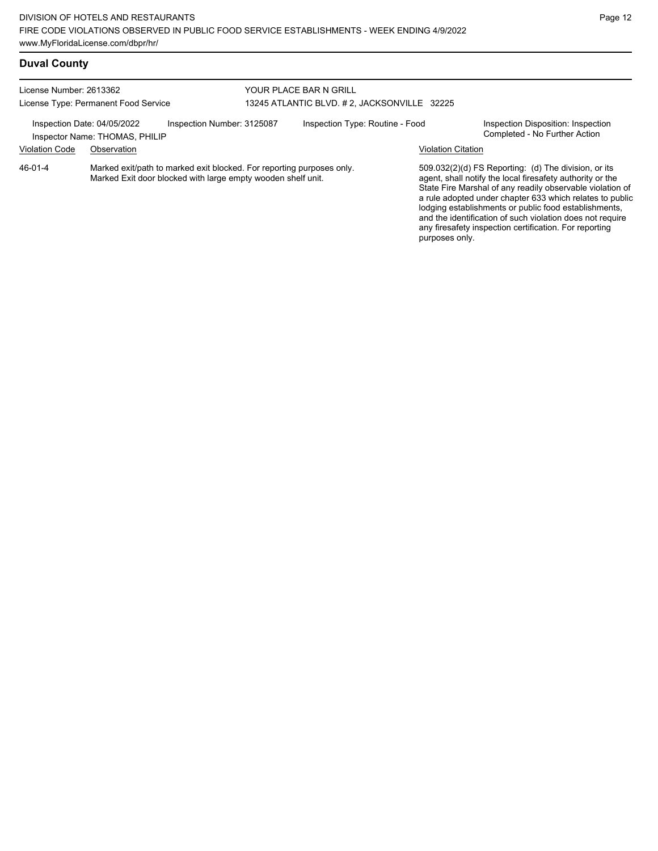any firesafety inspection certification. For reporting

purposes only.

# **Duval County**

| License Number: 2613362<br>License Type: Permanent Food Service<br>Inspection Number: 3125087<br>Inspection Date: 04/05/2022<br>Inspector Name: THOMAS, PHILIP |             |                                                                                                                                       | YOUR PLACE BAR N GRILL<br>13245 ATLANTIC BLVD. # 2, JACKSONVILLE 32225 |  |                                                                     |                                                                                                                                                                                                                                                                                                                                                                  |  |
|----------------------------------------------------------------------------------------------------------------------------------------------------------------|-------------|---------------------------------------------------------------------------------------------------------------------------------------|------------------------------------------------------------------------|--|---------------------------------------------------------------------|------------------------------------------------------------------------------------------------------------------------------------------------------------------------------------------------------------------------------------------------------------------------------------------------------------------------------------------------------------------|--|
|                                                                                                                                                                |             |                                                                                                                                       | Inspection Type: Routine - Food                                        |  | Inspection Disposition: Inspection<br>Completed - No Further Action |                                                                                                                                                                                                                                                                                                                                                                  |  |
| <b>Violation Code</b>                                                                                                                                          | Observation |                                                                                                                                       |                                                                        |  | <b>Violation Citation</b>                                           |                                                                                                                                                                                                                                                                                                                                                                  |  |
| $46 - 01 - 4$                                                                                                                                                  |             | Marked exit/path to marked exit blocked. For reporting purposes only.<br>Marked Exit door blocked with large empty wooden shelf unit. |                                                                        |  |                                                                     | 509.032(2)(d) FS Reporting: (d) The division, or its<br>agent, shall notify the local firesafety authority or the<br>State Fire Marshal of any readily observable violation of<br>a rule adopted under chapter 633 which relates to public<br>lodging establishments or public food establishments,<br>and the identification of such violation does not require |  |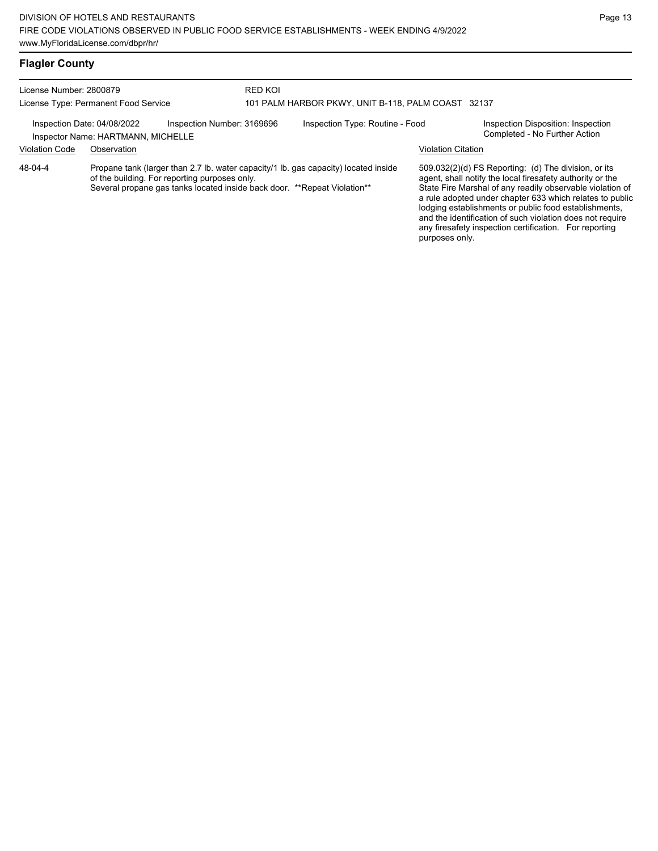License Number: 2800879 License Type: Permanent Food Service RED KOI 101 PALM HARBOR PKWY, UNIT B-118, PALM COAST 32137 Inspection Date: 04/08/2022 Inspection Number: 3169696 Inspection Type: Routine - Food Inspection Disposition: Inspection<br>Inspector Name: HARTMANN\_MICHELLE Inspector Name: HARTMANN, MICHELLE Violation Code Observation Violation Citation Propane tank (larger than 2.7 lb. water capacity/1 lb. gas capacity) located inside of the building. For reporting purposes only. Several propane gas tanks located inside back door. \*\*Repeat Violation\*\* 509.032(2)(d) FS Reporting: (d) The division, or its agent, shall notify the local firesafety authority or the State Fire Marshal of any readily observable violation of a rule adopted under chapter 633 which relates to public lodging establishments or public food establishments, and the identification of such violation does not require any firesafety inspection certification. For reporting purposes only. 48-04-4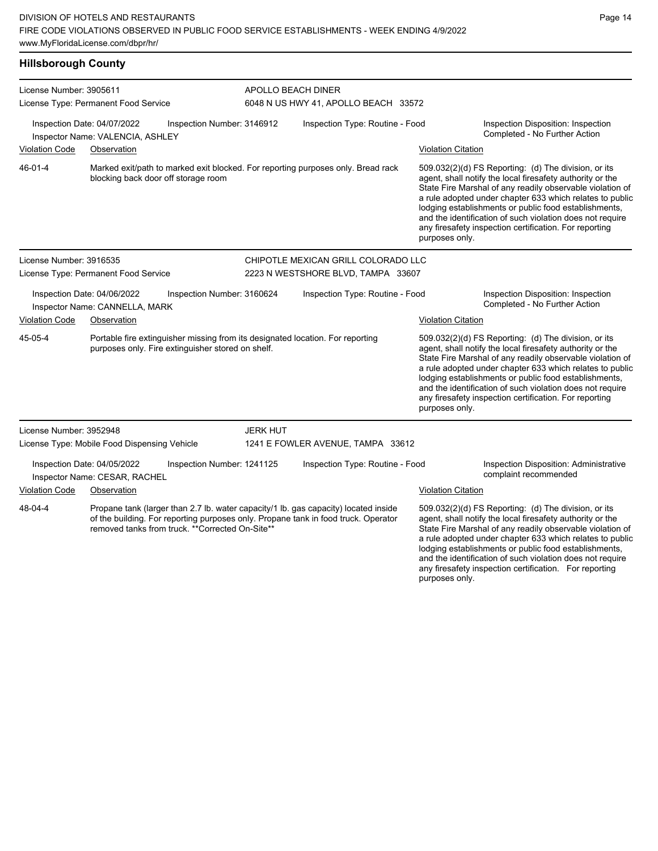| <b>Hillsborough County</b> |
|----------------------------|
|----------------------------|

| License Number: 3905611                                                                                                                                                                                                                 |                                                                                                                                     |                 | APOLLO BEACH DINER<br>6048 N US HWY 41, APOLLO BEACH 33572                                                                                                                                                                                                                                          |                                                                                                                                                                                                                                                                                                                                                                                                                                              |                                                                                                                                                                                                                                                                                                                                                                                                                            |  |  |  |
|-----------------------------------------------------------------------------------------------------------------------------------------------------------------------------------------------------------------------------------------|-------------------------------------------------------------------------------------------------------------------------------------|-----------------|-----------------------------------------------------------------------------------------------------------------------------------------------------------------------------------------------------------------------------------------------------------------------------------------------------|----------------------------------------------------------------------------------------------------------------------------------------------------------------------------------------------------------------------------------------------------------------------------------------------------------------------------------------------------------------------------------------------------------------------------------------------|----------------------------------------------------------------------------------------------------------------------------------------------------------------------------------------------------------------------------------------------------------------------------------------------------------------------------------------------------------------------------------------------------------------------------|--|--|--|
|                                                                                                                                                                                                                                         | License Type: Permanent Food Service                                                                                                |                 |                                                                                                                                                                                                                                                                                                     |                                                                                                                                                                                                                                                                                                                                                                                                                                              |                                                                                                                                                                                                                                                                                                                                                                                                                            |  |  |  |
|                                                                                                                                                                                                                                         | Inspection Date: 04/07/2022<br>Inspection Number: 3146912<br>Inspector Name: VALENCIA, ASHLEY                                       |                 | Inspection Type: Routine - Food                                                                                                                                                                                                                                                                     |                                                                                                                                                                                                                                                                                                                                                                                                                                              | Inspection Disposition: Inspection<br>Completed - No Further Action                                                                                                                                                                                                                                                                                                                                                        |  |  |  |
| <b>Violation Code</b>                                                                                                                                                                                                                   | Observation                                                                                                                         |                 |                                                                                                                                                                                                                                                                                                     | <b>Violation Citation</b>                                                                                                                                                                                                                                                                                                                                                                                                                    |                                                                                                                                                                                                                                                                                                                                                                                                                            |  |  |  |
| 46-01-4                                                                                                                                                                                                                                 | Marked exit/path to marked exit blocked. For reporting purposes only. Bread rack<br>blocking back door off storage room             |                 |                                                                                                                                                                                                                                                                                                     | 509.032(2)(d) FS Reporting: (d) The division, or its<br>agent, shall notify the local firesafety authority or the<br>State Fire Marshal of any readily observable violation of<br>a rule adopted under chapter 633 which relates to public<br>lodging establishments or public food establishments,<br>and the identification of such violation does not require<br>any firesafety inspection certification. For reporting<br>purposes only. |                                                                                                                                                                                                                                                                                                                                                                                                                            |  |  |  |
| License Number: 3916535                                                                                                                                                                                                                 |                                                                                                                                     |                 | CHIPOTLE MEXICAN GRILL COLORADO LLC                                                                                                                                                                                                                                                                 |                                                                                                                                                                                                                                                                                                                                                                                                                                              |                                                                                                                                                                                                                                                                                                                                                                                                                            |  |  |  |
|                                                                                                                                                                                                                                         | License Type: Permanent Food Service                                                                                                |                 | 2223 N WESTSHORE BLVD, TAMPA 33607                                                                                                                                                                                                                                                                  |                                                                                                                                                                                                                                                                                                                                                                                                                                              |                                                                                                                                                                                                                                                                                                                                                                                                                            |  |  |  |
|                                                                                                                                                                                                                                         | Inspection Date: 04/06/2022<br>Inspection Number: 3160624<br>Inspector Name: CANNELLA, MARK                                         |                 | Inspection Type: Routine - Food                                                                                                                                                                                                                                                                     |                                                                                                                                                                                                                                                                                                                                                                                                                                              | Inspection Disposition: Inspection<br>Completed - No Further Action                                                                                                                                                                                                                                                                                                                                                        |  |  |  |
| <b>Violation Code</b>                                                                                                                                                                                                                   | Observation                                                                                                                         |                 |                                                                                                                                                                                                                                                                                                     | <b>Violation Citation</b>                                                                                                                                                                                                                                                                                                                                                                                                                    |                                                                                                                                                                                                                                                                                                                                                                                                                            |  |  |  |
| 45-05-4                                                                                                                                                                                                                                 | Portable fire extinguisher missing from its designated location. For reporting<br>purposes only. Fire extinguisher stored on shelf. |                 |                                                                                                                                                                                                                                                                                                     | purposes only.                                                                                                                                                                                                                                                                                                                                                                                                                               | 509.032(2)(d) FS Reporting: (d) The division, or its<br>agent, shall notify the local firesafety authority or the<br>State Fire Marshal of any readily observable violation of<br>a rule adopted under chapter 633 which relates to public<br>lodging establishments or public food establishments,<br>and the identification of such violation does not require<br>any firesafety inspection certification. For reporting |  |  |  |
| License Number: 3952948                                                                                                                                                                                                                 |                                                                                                                                     | <b>JERK HUT</b> |                                                                                                                                                                                                                                                                                                     |                                                                                                                                                                                                                                                                                                                                                                                                                                              |                                                                                                                                                                                                                                                                                                                                                                                                                            |  |  |  |
|                                                                                                                                                                                                                                         | License Type: Mobile Food Dispensing Vehicle                                                                                        |                 | 1241 E FOWLER AVENUE, TAMPA 33612                                                                                                                                                                                                                                                                   |                                                                                                                                                                                                                                                                                                                                                                                                                                              |                                                                                                                                                                                                                                                                                                                                                                                                                            |  |  |  |
|                                                                                                                                                                                                                                         | Inspection Date: 04/05/2022<br>Inspection Number: 1241125<br>Inspector Name: CESAR, RACHEL                                          |                 | Inspection Type: Routine - Food                                                                                                                                                                                                                                                                     |                                                                                                                                                                                                                                                                                                                                                                                                                                              | Inspection Disposition: Administrative<br>complaint recommended                                                                                                                                                                                                                                                                                                                                                            |  |  |  |
| <b>Violation Code</b>                                                                                                                                                                                                                   | Observation                                                                                                                         |                 |                                                                                                                                                                                                                                                                                                     | <b>Violation Citation</b>                                                                                                                                                                                                                                                                                                                                                                                                                    |                                                                                                                                                                                                                                                                                                                                                                                                                            |  |  |  |
| 48-04-4<br>Propane tank (larger than 2.7 lb. water capacity/1 lb. gas capacity) located inside<br>of the building. For reporting purposes only. Propane tank in food truck. Operator<br>removed tanks from truck. **Corrected On-Site** |                                                                                                                                     |                 | 509.032(2)(d) FS Reporting: (d) The division, or its<br>agent, shall notify the local firesafety authority or the<br>State Fire Marshal of any readily observable violation of<br>a rule adopted under chapter 633 which relates to public<br>lodging establishments or public food establishments, |                                                                                                                                                                                                                                                                                                                                                                                                                                              |                                                                                                                                                                                                                                                                                                                                                                                                                            |  |  |  |

Page 14

and the identification of such violation does not require any firesafety inspection certification. For reporting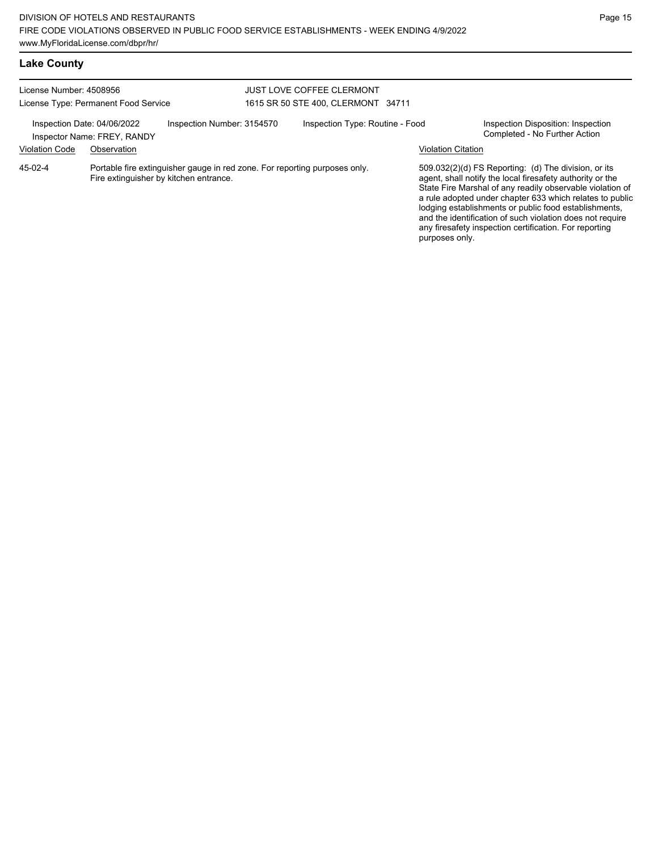| <b>Lake County</b>                                              |                                                                           |                                                                                                                      |                                                                        |                                 |  |                                                                                                                                                                                                                                                                                                                                                                                                                                              |  |
|-----------------------------------------------------------------|---------------------------------------------------------------------------|----------------------------------------------------------------------------------------------------------------------|------------------------------------------------------------------------|---------------------------------|--|----------------------------------------------------------------------------------------------------------------------------------------------------------------------------------------------------------------------------------------------------------------------------------------------------------------------------------------------------------------------------------------------------------------------------------------------|--|
| License Number: 4508956<br>License Type: Permanent Food Service |                                                                           |                                                                                                                      | <b>JUST LOVE COFFEE CLERMONT</b><br>1615 SR 50 STE 400, CLERMONT 34711 |                                 |  |                                                                                                                                                                                                                                                                                                                                                                                                                                              |  |
| <b>Violation Code</b>                                           | Inspection Date: 04/06/2022<br>Inspector Name: FREY, RANDY<br>Observation | Inspection Number: 3154570                                                                                           |                                                                        | Inspection Type: Routine - Food |  | Inspection Disposition: Inspection<br>Completed - No Further Action<br>Violation Citation                                                                                                                                                                                                                                                                                                                                                    |  |
| 45-02-4                                                         |                                                                           | Portable fire extinguisher gauge in red zone. For reporting purposes only.<br>Fire extinguisher by kitchen entrance. |                                                                        |                                 |  | 509.032(2)(d) FS Reporting: (d) The division, or its<br>agent, shall notify the local firesafety authority or the<br>State Fire Marshal of any readily observable violation of<br>a rule adopted under chapter 633 which relates to public<br>lodging establishments or public food establishments,<br>and the identification of such violation does not require<br>any firesafety inspection certification. For reporting<br>purposes only. |  |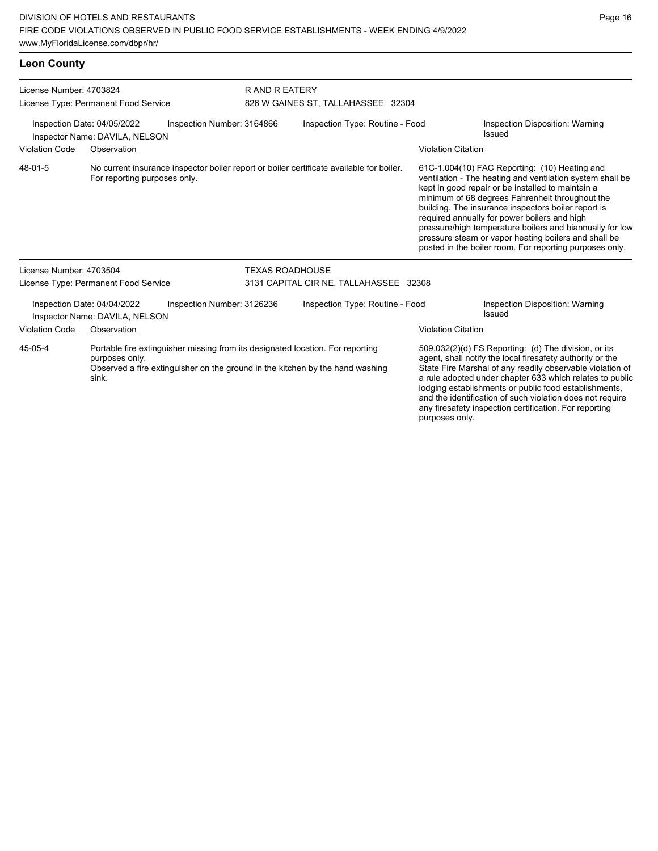For reporting purposes only.

| <b>Leon County</b>                   |                                                               |                            |                                    |                                                                                          |                           |                                                   |  |  |
|--------------------------------------|---------------------------------------------------------------|----------------------------|------------------------------------|------------------------------------------------------------------------------------------|---------------------------|---------------------------------------------------|--|--|
| License Number: 4703824              |                                                               |                            | R AND R EATERY                     |                                                                                          |                           |                                                   |  |  |
| License Type: Permanent Food Service |                                                               |                            | 826 W GAINES ST, TALLAHASSEE 32304 |                                                                                          |                           |                                                   |  |  |
|                                      | Inspection Date: 04/05/2022<br>Inspector Name: DAVILA, NELSON | Inspection Number: 3164866 |                                    | Inspection Type: Routine - Food                                                          |                           | Inspection Disposition: Warning<br>Issued         |  |  |
| <b>Violation Code</b>                | Observation                                                   |                            |                                    |                                                                                          | <b>Violation Citation</b> |                                                   |  |  |
| 48-01-5                              |                                                               |                            |                                    | No current insurance inspector boiler report or boiler certificate available for boiler. |                           | $61C-1.004(10)$ FAC Reporting: $(10)$ Heating and |  |  |

ventilation - The heating and ventilation system shall be kept in good repair or be installed to maintain a minimum of 68 degrees Fahrenheit throughout the building. The insurance inspectors boiler report is required annually for power boilers and high pressure/high temperature boilers and biannually for low pressure steam or vapor heating boilers and shall be posted in the boiler room. For reporting purposes only.

| License Number: 4703504<br>License Type: Permanent Food Service |                                                               |                                                                                | <b>TEXAS ROADHOUSE</b> | 3131 CAPITAL CIR NE, TALLAHASSEE 32308                                        |                           |                                                                                                                                                                                                                                                                                                                                                                                                                            |
|-----------------------------------------------------------------|---------------------------------------------------------------|--------------------------------------------------------------------------------|------------------------|-------------------------------------------------------------------------------|---------------------------|----------------------------------------------------------------------------------------------------------------------------------------------------------------------------------------------------------------------------------------------------------------------------------------------------------------------------------------------------------------------------------------------------------------------------|
|                                                                 | Inspection Date: 04/04/2022<br>Inspector Name: DAVILA, NELSON | Inspection Number: 3126236                                                     |                        | Inspection Type: Routine - Food                                               |                           | Inspection Disposition: Warning<br>Issued                                                                                                                                                                                                                                                                                                                                                                                  |
| <b>Violation Code</b>                                           | Observation                                                   |                                                                                |                        |                                                                               | <b>Violation Citation</b> |                                                                                                                                                                                                                                                                                                                                                                                                                            |
| 45-05-4                                                         | purposes only.<br>sink.                                       | Portable fire extinguisher missing from its designated location. For reporting |                        | Observed a fire extinguisher on the ground in the kitchen by the hand washing |                           | 509.032(2)(d) FS Reporting: (d) The division, or its<br>agent, shall notify the local firesafety authority or the<br>State Fire Marshal of any readily observable violation of<br>a rule adopted under chapter 633 which relates to public<br>lodging establishments or public food establishments,<br>and the identification of such violation does not require<br>any firesafety inspection certification. For reporting |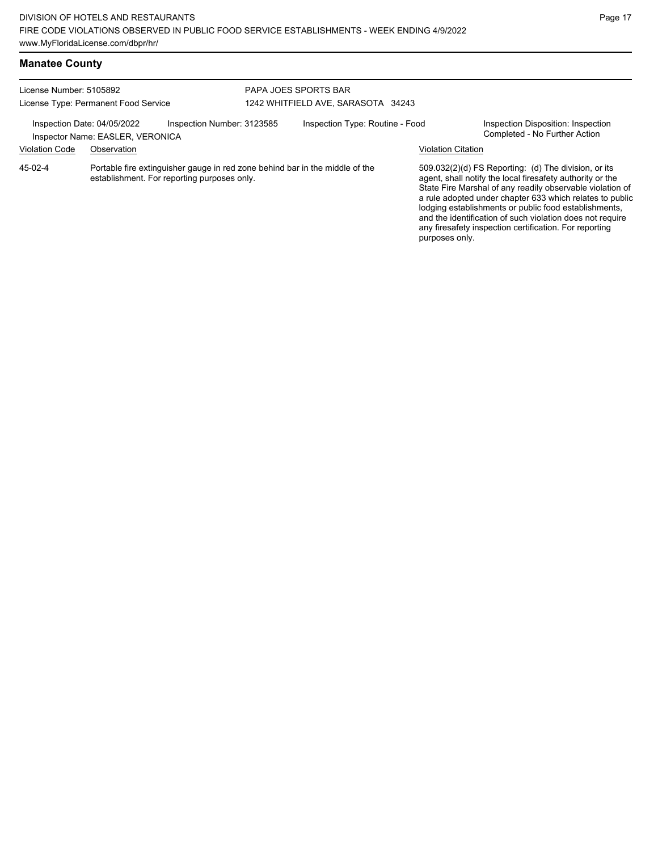| License Number: 5105892                              | License Type: Permanent Food Service                                                                                        |                            | <b>PAPA JOES SPORTS BAR</b><br>1242 WHITFIELD AVE, SARASOTA 34243 |                                                                                                                                                                                                                                                                                                                                                                                                                                              |                                                                     |  |  |
|------------------------------------------------------|-----------------------------------------------------------------------------------------------------------------------------|----------------------------|-------------------------------------------------------------------|----------------------------------------------------------------------------------------------------------------------------------------------------------------------------------------------------------------------------------------------------------------------------------------------------------------------------------------------------------------------------------------------------------------------------------------------|---------------------------------------------------------------------|--|--|
| Inspection Date: 04/05/2022<br><b>Violation Code</b> | Inspector Name: EASLER, VERONICA<br>Observation                                                                             | Inspection Number: 3123585 | Inspection Type: Routine - Food                                   | <b>Violation Citation</b>                                                                                                                                                                                                                                                                                                                                                                                                                    | Inspection Disposition: Inspection<br>Completed - No Further Action |  |  |
| 45-02-4                                              | Portable fire extinguisher gauge in red zone behind bar in the middle of the<br>establishment. For reporting purposes only. |                            |                                                                   | 509.032(2)(d) FS Reporting: (d) The division, or its<br>agent, shall notify the local firesafety authority or the<br>State Fire Marshal of any readily observable violation of<br>a rule adopted under chapter 633 which relates to public<br>lodging establishments or public food establishments,<br>and the identification of such violation does not require<br>any firesafety inspection certification. For reporting<br>purposes only. |                                                                     |  |  |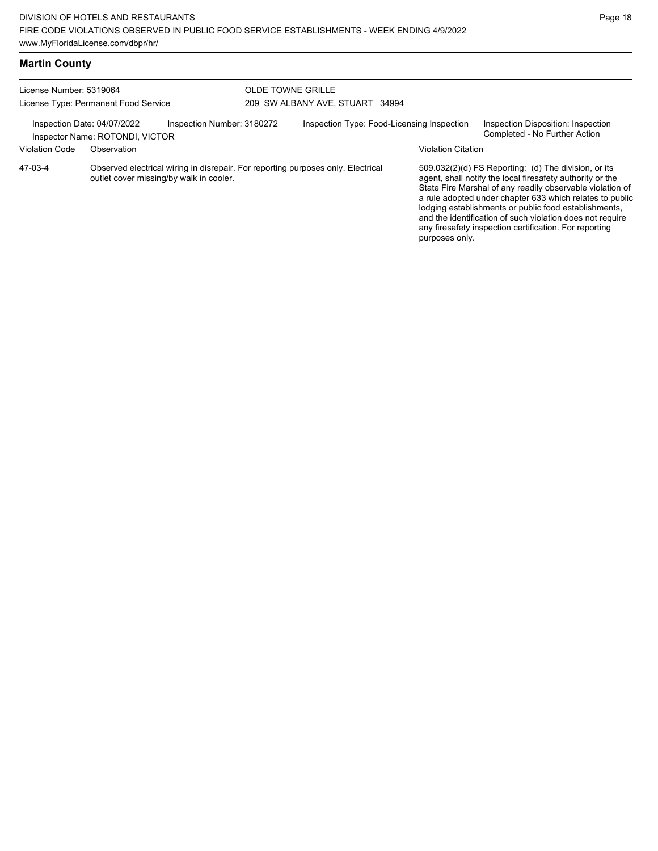# **Martin County**

| License Number: 5319064<br>License Type: Permanent Food Service                              |             |                                         | <b>OLDE TOWNE GRILLE</b><br>209 SW ALBANY AVE, STUART 34994 |                                                                                  |                           |                                                                                                                                                                                                                                                                                                                                                                                                                            |  |
|----------------------------------------------------------------------------------------------|-------------|-----------------------------------------|-------------------------------------------------------------|----------------------------------------------------------------------------------|---------------------------|----------------------------------------------------------------------------------------------------------------------------------------------------------------------------------------------------------------------------------------------------------------------------------------------------------------------------------------------------------------------------------------------------------------------------|--|
| Inspection Date: 04/07/2022<br>Inspection Number: 3180272<br>Inspector Name: ROTONDI, VICTOR |             |                                         |                                                             | Inspection Type: Food-Licensing Inspection                                       |                           | Inspection Disposition: Inspection<br>Completed - No Further Action                                                                                                                                                                                                                                                                                                                                                        |  |
| <b>Violation Code</b>                                                                        | Observation |                                         |                                                             |                                                                                  | <b>Violation Citation</b> |                                                                                                                                                                                                                                                                                                                                                                                                                            |  |
| 47-03-4                                                                                      |             | outlet cover missing/by walk in cooler. |                                                             | Observed electrical wiring in disrepair. For reporting purposes only. Electrical | purposes only.            | 509.032(2)(d) FS Reporting: (d) The division, or its<br>agent, shall notify the local firesafety authority or the<br>State Fire Marshal of any readily observable violation of<br>a rule adopted under chapter 633 which relates to public<br>lodging establishments or public food establishments,<br>and the identification of such violation does not require<br>any firesafety inspection certification. For reporting |  |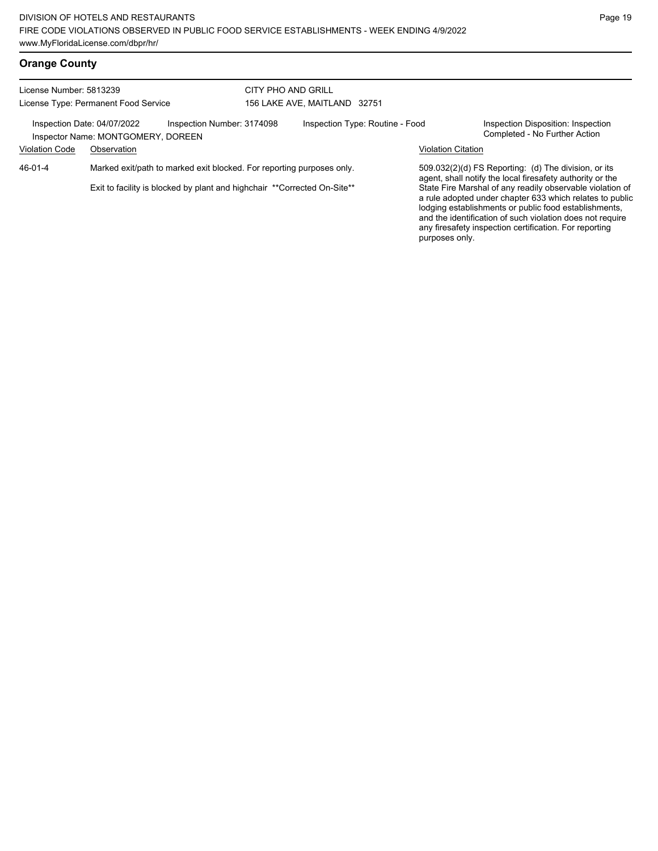|  | <b>Orange County</b> |
|--|----------------------|
|--|----------------------|

| License Number: 5813239<br>License Type: Permanent Food Service                                 |                                                                       |                                                                           | CITY PHO AND GRILL<br>156 LAKE AVE, MAITLAND 32751 |  |                                                                                                                   |                                                                                                                                                                                                                                                                                                       |  |
|-------------------------------------------------------------------------------------------------|-----------------------------------------------------------------------|---------------------------------------------------------------------------|----------------------------------------------------|--|-------------------------------------------------------------------------------------------------------------------|-------------------------------------------------------------------------------------------------------------------------------------------------------------------------------------------------------------------------------------------------------------------------------------------------------|--|
| Inspection Number: 3174098<br>Inspection Date: 04/07/2022<br>Inspector Name: MONTGOMERY, DOREEN |                                                                       |                                                                           | Inspection Type: Routine - Food                    |  | Inspection Disposition: Inspection<br>Completed - No Further Action                                               |                                                                                                                                                                                                                                                                                                       |  |
| <b>Violation Code</b>                                                                           | Observation                                                           |                                                                           |                                                    |  | <b>Violation Citation</b>                                                                                         |                                                                                                                                                                                                                                                                                                       |  |
| 46-01-4                                                                                         | Marked exit/path to marked exit blocked. For reporting purposes only. |                                                                           |                                                    |  | 509.032(2)(d) FS Reporting: (d) The division, or its<br>agent, shall notify the local firesafety authority or the |                                                                                                                                                                                                                                                                                                       |  |
|                                                                                                 |                                                                       | Exit to facility is blocked by plant and highchair ** Corrected On-Site** |                                                    |  | purposes only.                                                                                                    | State Fire Marshal of any readily observable violation of<br>a rule adopted under chapter 633 which relates to public<br>lodging establishments or public food establishments,<br>and the identification of such violation does not require<br>any firesafety inspection certification. For reporting |  |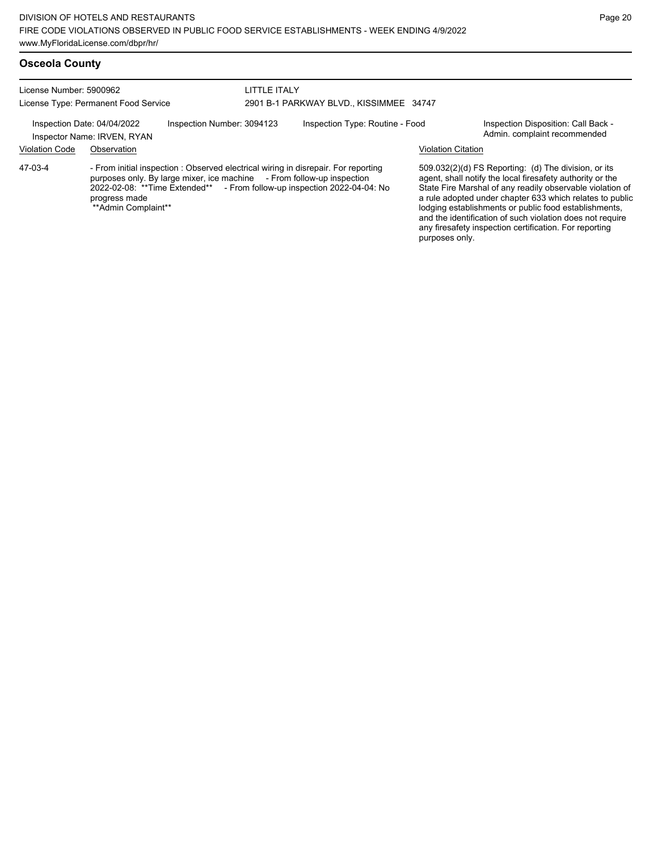License Number: 5900962 License Type: Permanent Food Service

### LITTLE ITALY 2901 B-1 PARKWAY BLVD., KISSIMMEE 34747

Inspection Date: 04/04/2022 Inspection Number: 3094123 Inspection Type: Routine - Food Inspection Disposition: Call Back -<br>Inspector Name: IRVEN RYAN

Inspector Name: IRVEN, RYAN

Violation Code Observation Violation Citation

- From initial inspection : Observed electrical wiring in disrepair. For reporting purposes only. By large mixer, ice machine - From follow-up inspection 2022-02-08: \*\*Time Extended\*\* - From follow-up inspection 2022-04-04: No progress made \*\*Admin Complaint\*\* 47-03-4

509.032(2)(d) FS Reporting: (d) The division, or its agent, shall notify the local firesafety authority or the State Fire Marshal of any readily observable violation of a rule adopted under chapter 633 which relates to public lodging establishments or public food establishments, and the identification of such violation does not require any firesafety inspection certification. For reporting purposes only.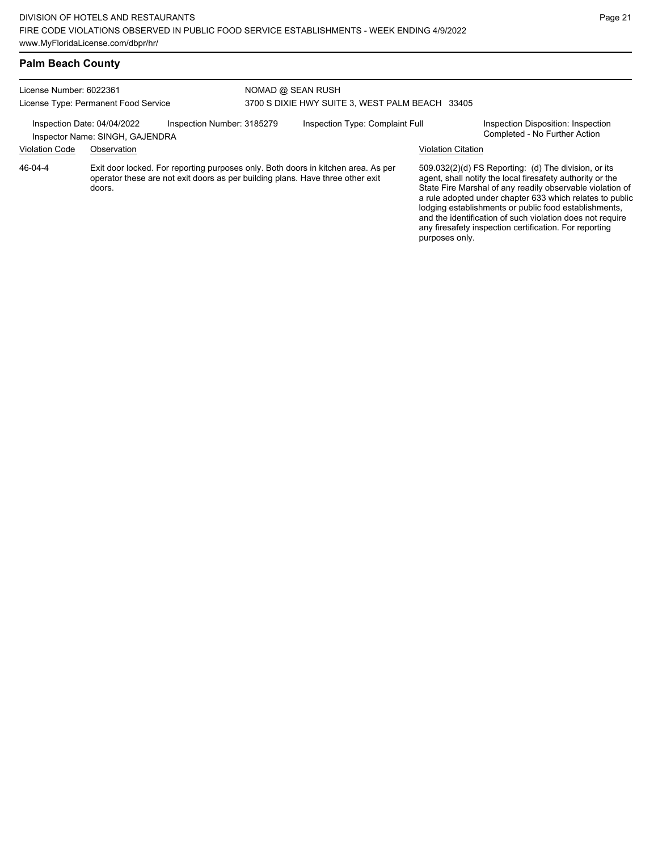## **Palm Beach County**

| License Number: 6022361<br>License Type: Permanent Food Service                              |             |  | NOMAD @ SEAN RUSH<br>3700 S DIXIE HWY SUITE 3, WEST PALM BEACH 33405 |                                                                                                                                                                     |                           |                                                                                                                                                                                                                                                                                                                                                                                                                            |  |
|----------------------------------------------------------------------------------------------|-------------|--|----------------------------------------------------------------------|---------------------------------------------------------------------------------------------------------------------------------------------------------------------|---------------------------|----------------------------------------------------------------------------------------------------------------------------------------------------------------------------------------------------------------------------------------------------------------------------------------------------------------------------------------------------------------------------------------------------------------------------|--|
| Inspection Number: 3185279<br>Inspection Date: 04/04/2022<br>Inspector Name: SINGH, GAJENDRA |             |  | Inspection Type: Complaint Full                                      |                                                                                                                                                                     |                           | Inspection Disposition: Inspection<br>Completed - No Further Action                                                                                                                                                                                                                                                                                                                                                        |  |
| <b>Violation Code</b>                                                                        | Observation |  |                                                                      |                                                                                                                                                                     | <b>Violation Citation</b> |                                                                                                                                                                                                                                                                                                                                                                                                                            |  |
| 46-04-4                                                                                      | doors.      |  |                                                                      | Exit door locked. For reporting purposes only. Both doors in kitchen area. As per<br>operator these are not exit doors as per building plans. Have three other exit | purposes only.            | 509.032(2)(d) FS Reporting: (d) The division, or its<br>agent, shall notify the local firesafety authority or the<br>State Fire Marshal of any readily observable violation of<br>a rule adopted under chapter 633 which relates to public<br>lodging establishments or public food establishments,<br>and the identification of such violation does not require<br>any firesafety inspection certification. For reporting |  |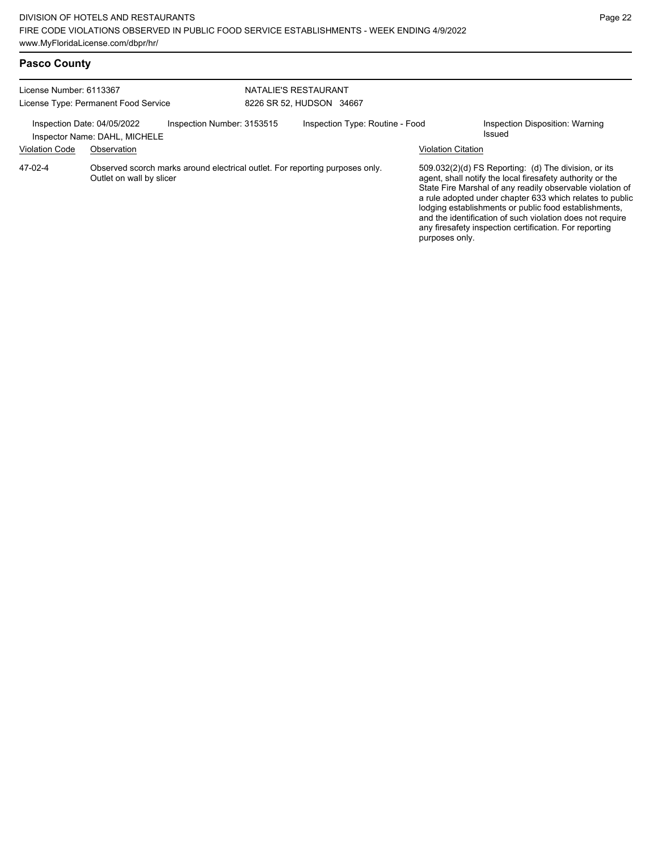| License Number: 6113367<br>License Type: Permanent Food Service |                                                                                                          | NATALIE'S RESTAURANT<br>8226 SR 52, HUDSON 34667 |  |                                 |                           |                                                                                                                                                                                                                                                                                                                                                                                                                            |
|-----------------------------------------------------------------|----------------------------------------------------------------------------------------------------------|--------------------------------------------------|--|---------------------------------|---------------------------|----------------------------------------------------------------------------------------------------------------------------------------------------------------------------------------------------------------------------------------------------------------------------------------------------------------------------------------------------------------------------------------------------------------------------|
| Inspection Date: 04/05/2022<br><b>Violation Code</b>            | Inspector Name: DAHL, MICHELE<br>Observation                                                             | Inspection Number: 3153515                       |  | Inspection Type: Routine - Food | <b>Violation Citation</b> | Inspection Disposition: Warning<br>Issued                                                                                                                                                                                                                                                                                                                                                                                  |
| 47-02-4                                                         | Observed scorch marks around electrical outlet. For reporting purposes only.<br>Outlet on wall by slicer |                                                  |  |                                 | purposes only.            | 509.032(2)(d) FS Reporting: (d) The division, or its<br>agent, shall notify the local firesafety authority or the<br>State Fire Marshal of any readily observable violation of<br>a rule adopted under chapter 633 which relates to public<br>lodging establishments or public food establishments,<br>and the identification of such violation does not require<br>any firesafety inspection certification. For reporting |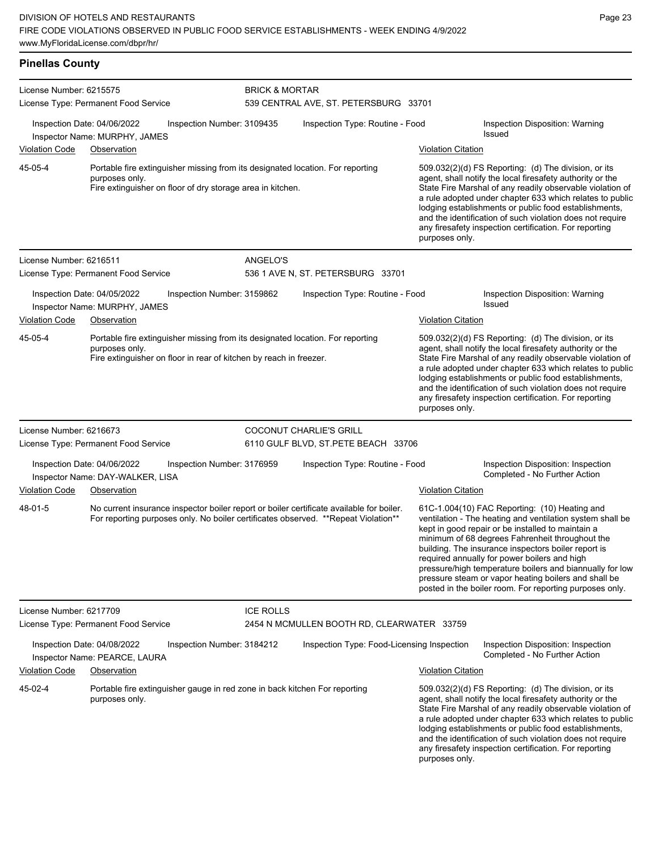| <b>Pinellas County</b>                                                                     |                                                                                                                                                                                                |                            |                                                                                |                           |                                                                                                                                                                                                                                                                                                                                                                                                                                                                                                          |  |  |  |  |
|--------------------------------------------------------------------------------------------|------------------------------------------------------------------------------------------------------------------------------------------------------------------------------------------------|----------------------------|--------------------------------------------------------------------------------|---------------------------|----------------------------------------------------------------------------------------------------------------------------------------------------------------------------------------------------------------------------------------------------------------------------------------------------------------------------------------------------------------------------------------------------------------------------------------------------------------------------------------------------------|--|--|--|--|
| License Number: 6215575                                                                    | License Type: Permanent Food Service                                                                                                                                                           |                            | <b>BRICK &amp; MORTAR</b><br>539 CENTRAL AVE, ST. PETERSBURG 33701             |                           |                                                                                                                                                                                                                                                                                                                                                                                                                                                                                                          |  |  |  |  |
|                                                                                            | Inspection Date: 04/06/2022<br>Inspector Name: MURPHY, JAMES                                                                                                                                   | Inspection Number: 3109435 | Inspection Type: Routine - Food                                                |                           | Inspection Disposition: Warning<br><b>Issued</b>                                                                                                                                                                                                                                                                                                                                                                                                                                                         |  |  |  |  |
| <b>Violation Code</b>                                                                      | Observation                                                                                                                                                                                    |                            |                                                                                | <b>Violation Citation</b> |                                                                                                                                                                                                                                                                                                                                                                                                                                                                                                          |  |  |  |  |
| 45-05-4                                                                                    | Portable fire extinguisher missing from its designated location. For reporting<br>purposes only.<br>Fire extinguisher on floor of dry storage area in kitchen.                                 |                            |                                                                                | purposes only.            | 509.032(2)(d) FS Reporting: (d) The division, or its<br>agent, shall notify the local firesafety authority or the<br>State Fire Marshal of any readily observable violation of<br>a rule adopted under chapter 633 which relates to public<br>lodging establishments or public food establishments,<br>and the identification of such violation does not require<br>any firesafety inspection certification. For reporting                                                                               |  |  |  |  |
| License Number: 6216511                                                                    |                                                                                                                                                                                                | ANGELO'S                   |                                                                                |                           |                                                                                                                                                                                                                                                                                                                                                                                                                                                                                                          |  |  |  |  |
|                                                                                            | License Type: Permanent Food Service                                                                                                                                                           |                            | 536 1 AVE N, ST. PETERSBURG 33701                                              |                           |                                                                                                                                                                                                                                                                                                                                                                                                                                                                                                          |  |  |  |  |
| Inspection Date: 04/05/2022<br>Inspection Number: 3159862<br>Inspector Name: MURPHY, JAMES |                                                                                                                                                                                                |                            | Inspection Type: Routine - Food                                                |                           | Inspection Disposition: Warning<br><b>Issued</b>                                                                                                                                                                                                                                                                                                                                                                                                                                                         |  |  |  |  |
| <b>Violation Code</b>                                                                      | Observation                                                                                                                                                                                    |                            |                                                                                | <b>Violation Citation</b> |                                                                                                                                                                                                                                                                                                                                                                                                                                                                                                          |  |  |  |  |
| 45-05-4                                                                                    | purposes only.<br>Fire extinguisher on floor in rear of kitchen by reach in freezer.                                                                                                           |                            | Portable fire extinguisher missing from its designated location. For reporting |                           | 509.032(2)(d) FS Reporting: (d) The division, or its<br>agent, shall notify the local firesafety authority or the<br>State Fire Marshal of any readily observable violation of<br>a rule adopted under chapter 633 which relates to public<br>lodging establishments or public food establishments,<br>and the identification of such violation does not require<br>any firesafety inspection certification. For reporting<br>purposes only.                                                             |  |  |  |  |
| License Number: 6216673                                                                    |                                                                                                                                                                                                |                            | COCONUT CHARLIE'S GRILL                                                        |                           |                                                                                                                                                                                                                                                                                                                                                                                                                                                                                                          |  |  |  |  |
|                                                                                            | License Type: Permanent Food Service                                                                                                                                                           |                            | 6110 GULF BLVD, ST.PETE BEACH 33706                                            |                           |                                                                                                                                                                                                                                                                                                                                                                                                                                                                                                          |  |  |  |  |
|                                                                                            | Inspection Date: 04/06/2022<br>Inspector Name: DAY-WALKER, LISA                                                                                                                                | Inspection Number: 3176959 | Inspection Type: Routine - Food                                                |                           | Inspection Disposition: Inspection<br>Completed - No Further Action                                                                                                                                                                                                                                                                                                                                                                                                                                      |  |  |  |  |
| <b>Violation Code</b><br>48-01-5                                                           | Observation<br>No current insurance inspector boiler report or boiler certificate available for boiler.<br>For reporting purposes only. No boiler certificates observed. ** Repeat Violation** |                            |                                                                                | <b>Violation Citation</b> | 61C-1.004(10) FAC Reporting: (10) Heating and<br>ventilation - The heating and ventilation system shall be<br>kept in good repair or be installed to maintain a<br>minimum of 68 degrees Fahrenheit throughout the<br>building. The insurance inspectors boiler report is<br>required annually for power boilers and high<br>pressure/high temperature boilers and biannually for low<br>pressure steam or vapor heating boilers and shall be<br>posted in the boiler room. For reporting purposes only. |  |  |  |  |
| License Number: 6217709                                                                    |                                                                                                                                                                                                | <b>ICE ROLLS</b>           |                                                                                |                           |                                                                                                                                                                                                                                                                                                                                                                                                                                                                                                          |  |  |  |  |
|                                                                                            | License Type: Permanent Food Service                                                                                                                                                           |                            | 2454 N MCMULLEN BOOTH RD, CLEARWATER 33759                                     |                           |                                                                                                                                                                                                                                                                                                                                                                                                                                                                                                          |  |  |  |  |
|                                                                                            | Inspection Date: 04/08/2022<br>Inspector Name: PEARCE, LAURA                                                                                                                                   | Inspection Number: 3184212 | Inspection Type: Food-Licensing Inspection                                     |                           | Inspection Disposition: Inspection<br>Completed - No Further Action                                                                                                                                                                                                                                                                                                                                                                                                                                      |  |  |  |  |

Violation Code Observation Violation Citation Portable fire extinguisher gauge in red zone in back kitchen For reporting purposes only. 509.032(2)(d) FS Reporting: (d) The division, or its agent, shall notify the local firesafety authority or the

45-02-4

State Fire Marshal of any readily observable violation of a rule adopted under chapter 633 which relates to public lodging establishments or public food establishments, and the identification of such violation does not require any firesafety inspection certification. For reporting purposes only.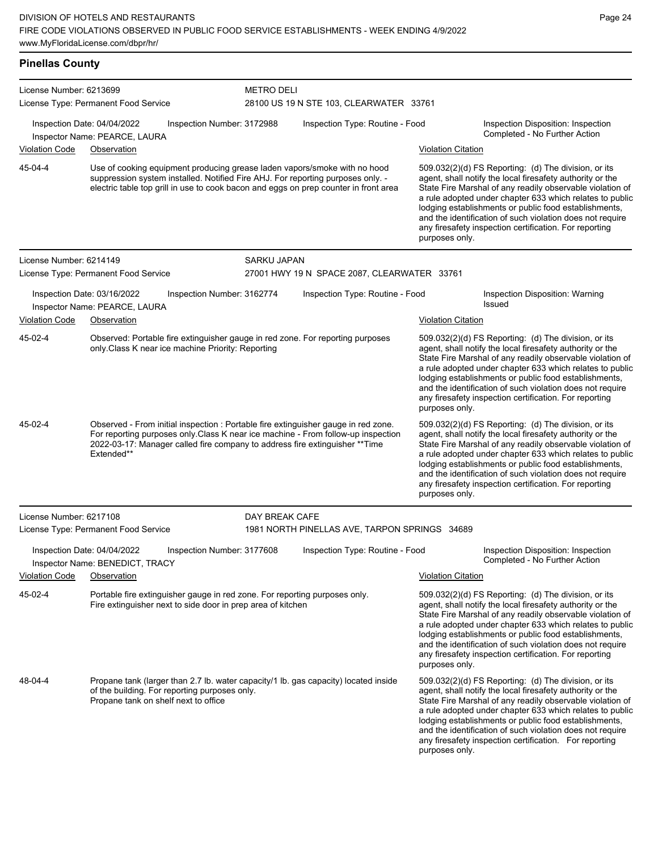| <b>Pinellas County</b>  |                                                                                                                                                                                                                                                                      |                            |                                                                                                                                                                                                                                                                                                                                                                                                                                              |                           |                                                                                                                                                                                                                                                                                                                                                                                                                            |  |  |
|-------------------------|----------------------------------------------------------------------------------------------------------------------------------------------------------------------------------------------------------------------------------------------------------------------|----------------------------|----------------------------------------------------------------------------------------------------------------------------------------------------------------------------------------------------------------------------------------------------------------------------------------------------------------------------------------------------------------------------------------------------------------------------------------------|---------------------------|----------------------------------------------------------------------------------------------------------------------------------------------------------------------------------------------------------------------------------------------------------------------------------------------------------------------------------------------------------------------------------------------------------------------------|--|--|
| License Number: 6213699 | License Type: Permanent Food Service                                                                                                                                                                                                                                 |                            | <b>METRO DELI</b><br>28100 US 19 N STE 103, CLEARWATER 33761                                                                                                                                                                                                                                                                                                                                                                                 |                           |                                                                                                                                                                                                                                                                                                                                                                                                                            |  |  |
|                         | Inspection Date: 04/04/2022<br>Inspector Name: PEARCE, LAURA                                                                                                                                                                                                         | Inspection Number: 3172988 | Inspection Type: Routine - Food                                                                                                                                                                                                                                                                                                                                                                                                              |                           | Inspection Disposition: Inspection<br>Completed - No Further Action                                                                                                                                                                                                                                                                                                                                                        |  |  |
| <b>Violation Code</b>   | Observation                                                                                                                                                                                                                                                          |                            |                                                                                                                                                                                                                                                                                                                                                                                                                                              | <b>Violation Citation</b> |                                                                                                                                                                                                                                                                                                                                                                                                                            |  |  |
| 45-04-4                 | Use of cooking equipment producing grease laden vapors/smoke with no hood<br>suppression system installed. Notified Fire AHJ. For reporting purposes only. -<br>electric table top grill in use to cook bacon and eggs on prep counter in front area                 |                            | 509.032(2)(d) FS Reporting: (d) The division, or its<br>agent, shall notify the local firesafety authority or the<br>State Fire Marshal of any readily observable violation of<br>a rule adopted under chapter 633 which relates to public<br>lodging establishments or public food establishments,<br>and the identification of such violation does not require<br>any firesafety inspection certification. For reporting<br>purposes only. |                           |                                                                                                                                                                                                                                                                                                                                                                                                                            |  |  |
| License Number: 6214149 |                                                                                                                                                                                                                                                                      | SARKU JAPAN                |                                                                                                                                                                                                                                                                                                                                                                                                                                              |                           |                                                                                                                                                                                                                                                                                                                                                                                                                            |  |  |
|                         | License Type: Permanent Food Service                                                                                                                                                                                                                                 |                            | 27001 HWY 19 N SPACE 2087, CLEARWATER 33761                                                                                                                                                                                                                                                                                                                                                                                                  |                           |                                                                                                                                                                                                                                                                                                                                                                                                                            |  |  |
|                         | Inspection Date: 03/16/2022<br>Inspector Name: PEARCE, LAURA                                                                                                                                                                                                         | Inspection Number: 3162774 | Inspection Type: Routine - Food                                                                                                                                                                                                                                                                                                                                                                                                              |                           | Inspection Disposition: Warning<br><b>Issued</b>                                                                                                                                                                                                                                                                                                                                                                           |  |  |
| <b>Violation Code</b>   | Observation                                                                                                                                                                                                                                                          |                            |                                                                                                                                                                                                                                                                                                                                                                                                                                              | Violation Citation        |                                                                                                                                                                                                                                                                                                                                                                                                                            |  |  |
| 45-02-4                 | Observed: Portable fire extinguisher gauge in red zone. For reporting purposes<br>only Class K near ice machine Priority: Reporting<br>purposes only.                                                                                                                |                            |                                                                                                                                                                                                                                                                                                                                                                                                                                              |                           | 509.032(2)(d) FS Reporting: (d) The division, or its<br>agent, shall notify the local firesafety authority or the<br>State Fire Marshal of any readily observable violation of<br>a rule adopted under chapter 633 which relates to public<br>lodging establishments or public food establishments,<br>and the identification of such violation does not require<br>any firesafety inspection certification. For reporting |  |  |
| 45-02-4                 | Observed - From initial inspection : Portable fire extinguisher gauge in red zone.<br>For reporting purposes only Class K near ice machine - From follow-up inspection<br>2022-03-17: Manager called fire company to address fire extinguisher ** Time<br>Extended** |                            |                                                                                                                                                                                                                                                                                                                                                                                                                                              | purposes only.            | 509.032(2)(d) FS Reporting: (d) The division, or its<br>agent, shall notify the local firesafety authority or the<br>State Fire Marshal of any readily observable violation of<br>a rule adopted under chapter 633 which relates to public<br>lodging establishments or public food establishments,<br>and the identification of such violation does not require<br>any firesafety inspection certification. For reporting |  |  |
| License Number: 6217108 |                                                                                                                                                                                                                                                                      | DAY BREAK CAFE             |                                                                                                                                                                                                                                                                                                                                                                                                                                              |                           |                                                                                                                                                                                                                                                                                                                                                                                                                            |  |  |
|                         | License Type: Permanent Food Service                                                                                                                                                                                                                                 |                            | 1981 NORTH PINELLAS AVE, TARPON SPRINGS 34689                                                                                                                                                                                                                                                                                                                                                                                                |                           |                                                                                                                                                                                                                                                                                                                                                                                                                            |  |  |
|                         | Inspection Date: 04/04/2022<br>Inspector Name: BENEDICT, TRACY                                                                                                                                                                                                       | Inspection Number: 3177608 | Inspection Type: Routine - Food                                                                                                                                                                                                                                                                                                                                                                                                              |                           | Inspection Disposition: Inspection<br>Completed - No Further Action                                                                                                                                                                                                                                                                                                                                                        |  |  |
| Violation Code          | Observation                                                                                                                                                                                                                                                          |                            |                                                                                                                                                                                                                                                                                                                                                                                                                                              | <b>Violation Citation</b> |                                                                                                                                                                                                                                                                                                                                                                                                                            |  |  |
| 45-02-4                 | Portable fire extinguisher gauge in red zone. For reporting purposes only.<br>Fire extinguisher next to side door in prep area of kitchen                                                                                                                            |                            |                                                                                                                                                                                                                                                                                                                                                                                                                                              | purposes only.            | 509.032(2)(d) FS Reporting: (d) The division, or its<br>agent, shall notify the local firesafety authority or the<br>State Fire Marshal of any readily observable violation of<br>a rule adopted under chapter 633 which relates to public<br>lodging establishments or public food establishments,<br>and the identification of such violation does not require<br>any firesafety inspection certification. For reporting |  |  |
| 48-04-4                 | Propane tank (larger than 2.7 lb. water capacity/1 lb. gas capacity) located inside<br>of the building. For reporting purposes only.<br>Propane tank on shelf next to office                                                                                         |                            |                                                                                                                                                                                                                                                                                                                                                                                                                                              |                           | 509.032(2)(d) FS Reporting: (d) The division, or its<br>agent, shall notify the local firesafety authority or the<br>State Fire Marshal of any readily observable violation of<br>a rule adopted under chapter 633 which relates to public<br>lodging establishments or public food establishments,                                                                                                                        |  |  |

and the identification of such violation does not require any firesafety inspection certification. For reporting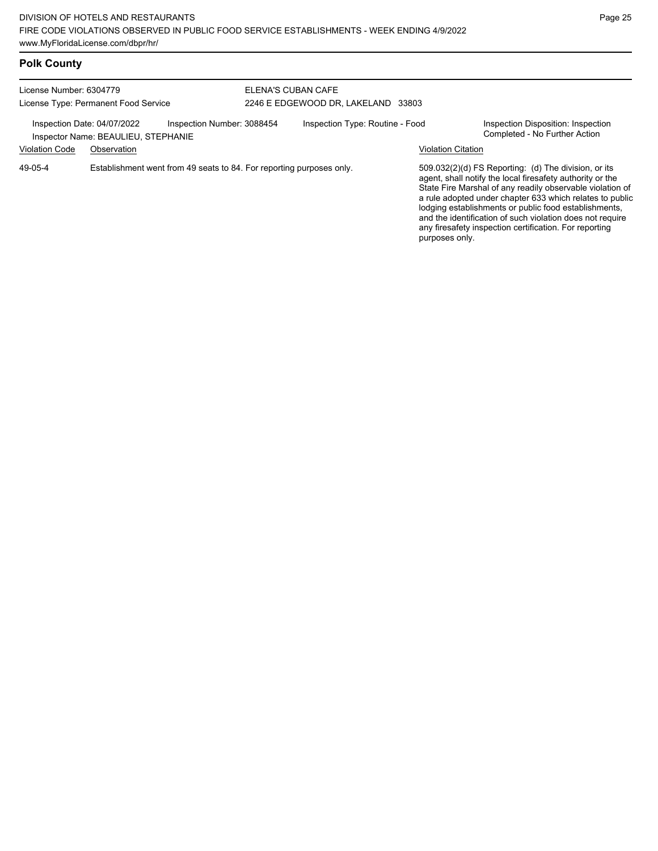## **Polk County**

| License Number: 6304779<br>License Type: Permanent Food Service                                  |             |                                                                      | ELENA'S CUBAN CAFE<br>2246 E EDGEWOOD DR. LAKELAND 33803 |  |                                                                     |                                                                                                                                                                                                                                                                                                                                                                                                                            |  |
|--------------------------------------------------------------------------------------------------|-------------|----------------------------------------------------------------------|----------------------------------------------------------|--|---------------------------------------------------------------------|----------------------------------------------------------------------------------------------------------------------------------------------------------------------------------------------------------------------------------------------------------------------------------------------------------------------------------------------------------------------------------------------------------------------------|--|
| Inspection Number: 3088454<br>Inspection Date: 04/07/2022<br>Inspector Name: BEAULIEU, STEPHANIE |             |                                                                      | Inspection Type: Routine - Food                          |  | Inspection Disposition: Inspection<br>Completed - No Further Action |                                                                                                                                                                                                                                                                                                                                                                                                                            |  |
| <b>Violation Code</b>                                                                            | Observation |                                                                      |                                                          |  | <b>Violation Citation</b>                                           |                                                                                                                                                                                                                                                                                                                                                                                                                            |  |
| 49-05-4                                                                                          |             | Establishment went from 49 seats to 84. For reporting purposes only. |                                                          |  |                                                                     | 509.032(2)(d) FS Reporting: (d) The division, or its<br>agent, shall notify the local firesafety authority or the<br>State Fire Marshal of any readily observable violation of<br>a rule adopted under chapter 633 which relates to public<br>lodging establishments or public food establishments,<br>and the identification of such violation does not require<br>any firesafety inspection certification. For reporting |  |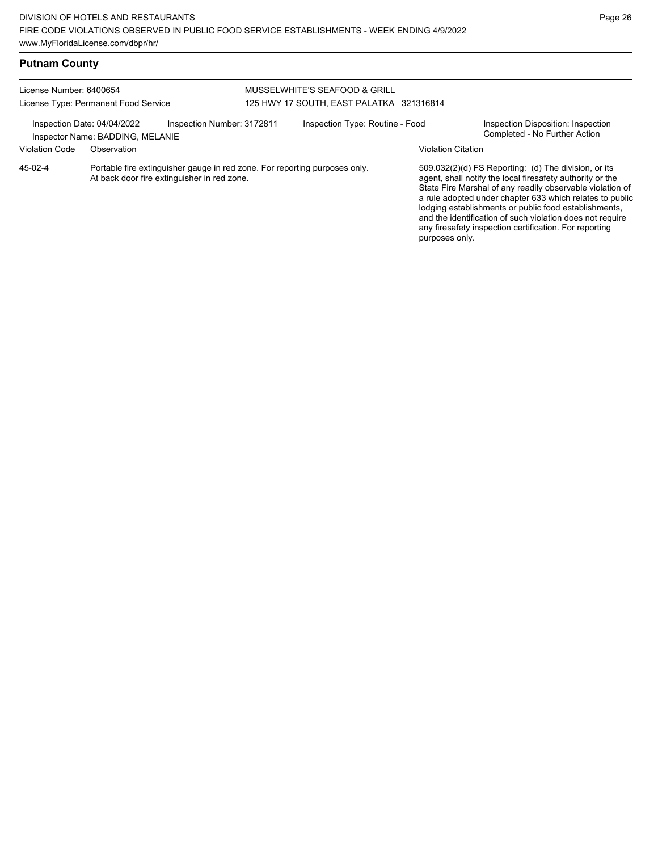## **Putnam County**

#### License Number: 6400654 License Type: Permanent Food Service MUSSELWHITE'S SEAFOOD & GRILL 125 HWY 17 SOUTH, EAST PALATKA 321316814 Inspection Date: 04/04/2022 Inspection Number: 3172811 Inspection Type: Routine - Food Inspection Disposition: Inspection<br>Inspector Name: BADDING MELANIE Inspector Name: BADDING, MELANIE Violation Code Observation Violation Citation Portable fire extinguisher gauge in red zone. For reporting purposes only. At back door fire extinguisher in red zone. 509.032(2)(d) FS Reporting: (d) The division, or its agent, shall notify the local firesafety authority or the State Fire Marshal of any readily observable violation of a rule adopted under chapter 633 which relates to public lodging establishments or public food establishments, and the identification of such violation does not require any firesafety inspection certification. For reporting purposes only. 45-02-4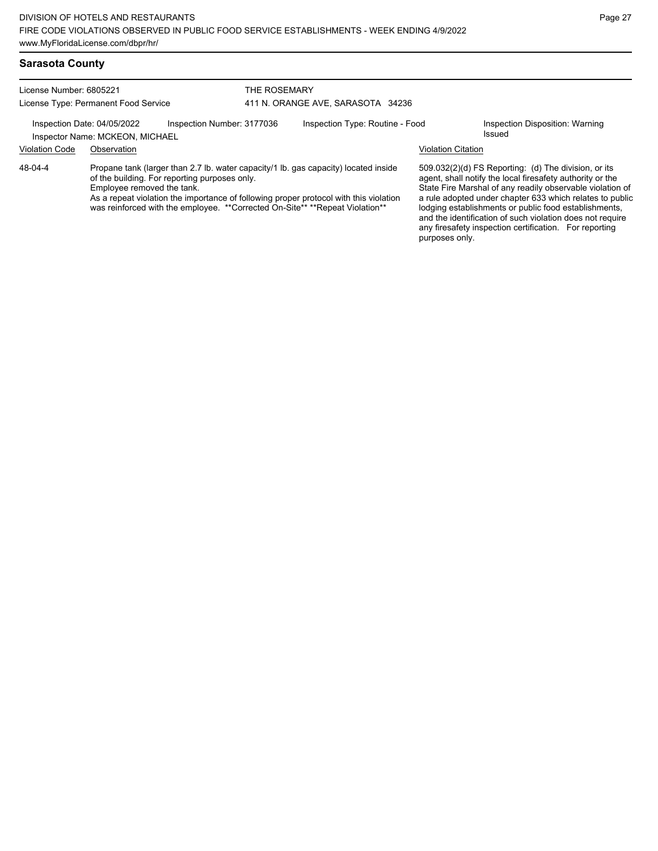License Number: 6805221 License Type: Permanent Food Service

#### THE ROSEMARY 411 N. ORANGE AVE, SARASOTA 34236

## Inspection Date: 04/05/2022 Inspection Number: 3177036 Inspection Type: Routine - Food Inspection Disposition: Warning Inspector Name: MCKEON, MICHAEL

## Violation Code Observation Violation Citation

Propane tank (larger than 2.7 lb. water capacity/1 lb. gas capacity) located inside of the building. For reporting purposes only. 48-04-4

Employee removed the tank.

As a repeat violation the importance of following proper protocol with this violation was reinforced with the employee. \*\*Corrected On-Site\*\* \*\*Repeat Violation\*\*

509.032(2)(d) FS Reporting: (d) The division, or its agent, shall notify the local firesafety authority or the State Fire Marshal of any readily observable violation of a rule adopted under chapter 633 which relates to public lodging establishments or public food establishments, and the identification of such violation does not require any firesafety inspection certification. For reporting purposes only.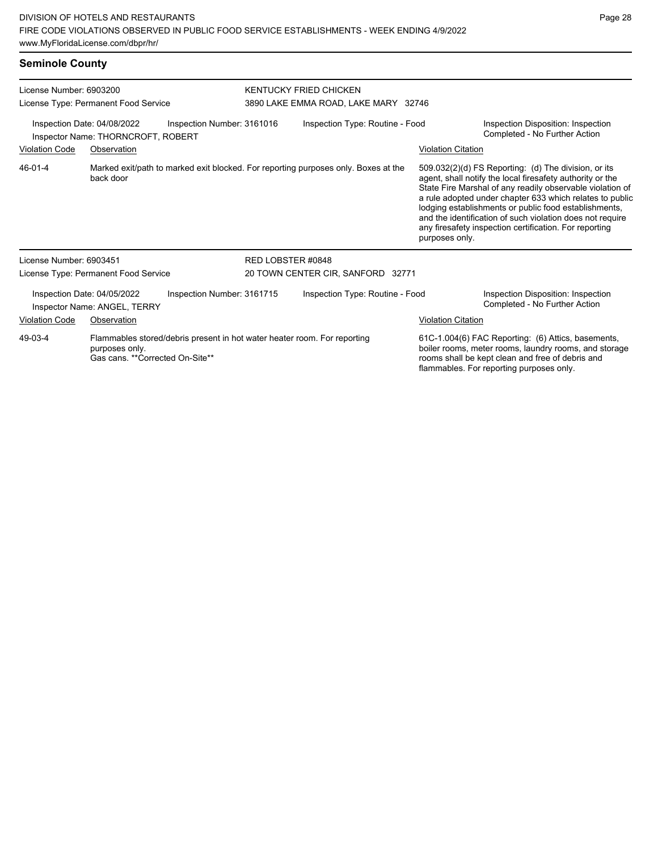| License Number: 6903200<br>License Type: Permanent Food Service<br>Inspection Date: 04/08/2022<br>Inspection Number: 3161016<br>Inspector Name: THORNCROFT, ROBERT |                                                             |                                                                          | KENTUCKY FRIED CHICKEN<br>3890 LAKE EMMA ROAD, LAKE MARY 32746 |                                                                                    |                           |                                                                                                                                                                                                                                                                                                                                                                                                                            |  |
|--------------------------------------------------------------------------------------------------------------------------------------------------------------------|-------------------------------------------------------------|--------------------------------------------------------------------------|----------------------------------------------------------------|------------------------------------------------------------------------------------|---------------------------|----------------------------------------------------------------------------------------------------------------------------------------------------------------------------------------------------------------------------------------------------------------------------------------------------------------------------------------------------------------------------------------------------------------------------|--|
|                                                                                                                                                                    |                                                             |                                                                          | Inspection Type: Routine - Food                                |                                                                                    |                           | Inspection Disposition: Inspection<br>Completed - No Further Action                                                                                                                                                                                                                                                                                                                                                        |  |
| <b>Violation Code</b>                                                                                                                                              | Observation                                                 |                                                                          |                                                                |                                                                                    | <b>Violation Citation</b> |                                                                                                                                                                                                                                                                                                                                                                                                                            |  |
| 46-01-4                                                                                                                                                            | back door                                                   |                                                                          |                                                                | Marked exit/path to marked exit blocked. For reporting purposes only. Boxes at the | purposes only.            | 509.032(2)(d) FS Reporting: (d) The division, or its<br>agent, shall notify the local firesafety authority or the<br>State Fire Marshal of any readily observable violation of<br>a rule adopted under chapter 633 which relates to public<br>lodging establishments or public food establishments,<br>and the identification of such violation does not require<br>any firesafety inspection certification. For reporting |  |
| License Number: 6903451                                                                                                                                            |                                                             |                                                                          | RED LOBSTER #0848                                              |                                                                                    |                           |                                                                                                                                                                                                                                                                                                                                                                                                                            |  |
|                                                                                                                                                                    | License Type: Permanent Food Service                        |                                                                          | 20 TOWN CENTER CIR, SANFORD 32771                              |                                                                                    |                           |                                                                                                                                                                                                                                                                                                                                                                                                                            |  |
|                                                                                                                                                                    | Inspection Date: 04/05/2022<br>Inspector Name: ANGEL, TERRY | Inspection Number: 3161715                                               |                                                                | Inspection Type: Routine - Food                                                    |                           | Inspection Disposition: Inspection<br>Completed - No Further Action                                                                                                                                                                                                                                                                                                                                                        |  |
| Violation Code                                                                                                                                                     | Observation                                                 |                                                                          |                                                                |                                                                                    | <b>Violation Citation</b> |                                                                                                                                                                                                                                                                                                                                                                                                                            |  |
| 49-03-4                                                                                                                                                            | purposes only.<br>Gas cans. ** Corrected On-Site**          | Flammables stored/debris present in hot water heater room. For reporting |                                                                |                                                                                    |                           | 61C-1.004(6) FAC Reporting: (6) Attics, basements,<br>boiler rooms, meter rooms, laundry rooms, and storage<br>rooms shall be kept clean and free of debris and<br>flammables. For reporting purposes only.                                                                                                                                                                                                                |  |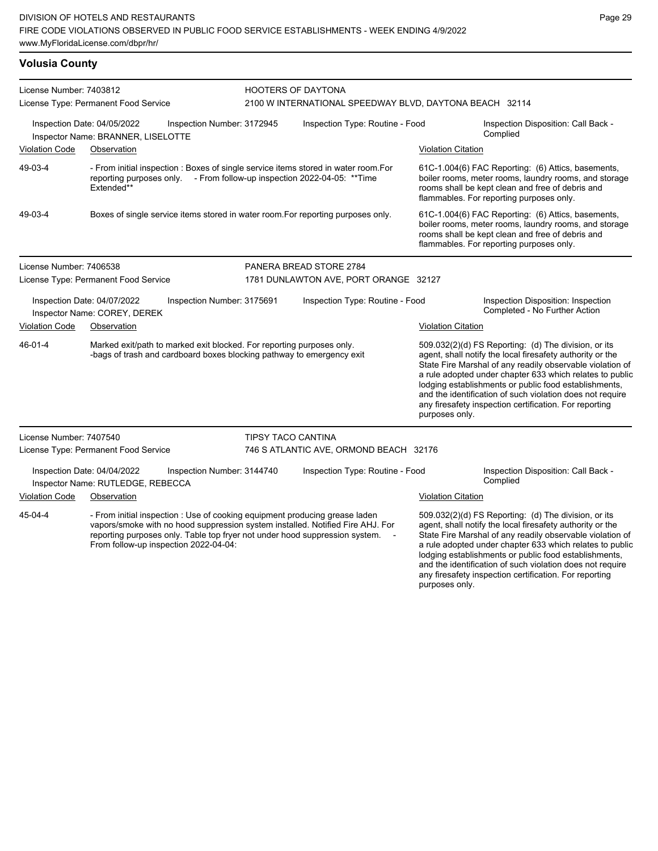## **Volusia County**

| License Number: 7403812<br>License Type: Permanent Food Service |                                                                                  |                                                                                                                                                | <b>HOOTERS OF DAYTONA</b>              |                                                                                                                                                               |                                                                                                                                                                                                             |                                                                                                                                                                                                                                                                                                                                                                                                                            |  |  |
|-----------------------------------------------------------------|----------------------------------------------------------------------------------|------------------------------------------------------------------------------------------------------------------------------------------------|----------------------------------------|---------------------------------------------------------------------------------------------------------------------------------------------------------------|-------------------------------------------------------------------------------------------------------------------------------------------------------------------------------------------------------------|----------------------------------------------------------------------------------------------------------------------------------------------------------------------------------------------------------------------------------------------------------------------------------------------------------------------------------------------------------------------------------------------------------------------------|--|--|
|                                                                 |                                                                                  |                                                                                                                                                |                                        | 2100 W INTERNATIONAL SPEEDWAY BLVD, DAYTONA BEACH 32114                                                                                                       |                                                                                                                                                                                                             |                                                                                                                                                                                                                                                                                                                                                                                                                            |  |  |
|                                                                 | Inspection Date: 04/05/2022<br>Inspector Name: BRANNER, LISELOTTE                | Inspection Number: 3172945                                                                                                                     | Inspection Type: Routine - Food        |                                                                                                                                                               |                                                                                                                                                                                                             | Inspection Disposition: Call Back -<br>Complied                                                                                                                                                                                                                                                                                                                                                                            |  |  |
| <b>Violation Code</b>                                           | Observation                                                                      |                                                                                                                                                |                                        |                                                                                                                                                               | <b>Violation Citation</b>                                                                                                                                                                                   |                                                                                                                                                                                                                                                                                                                                                                                                                            |  |  |
| 49-03-4                                                         | reporting purposes only.<br>Extended**                                           |                                                                                                                                                |                                        | - From initial inspection : Boxes of single service items stored in water room. For<br>- From follow-up inspection 2022-04-05: ** Time                        |                                                                                                                                                                                                             | 61C-1.004(6) FAC Reporting: (6) Attics, basements,<br>boiler rooms, meter rooms, laundry rooms, and storage<br>rooms shall be kept clean and free of debris and<br>flammables. For reporting purposes only.                                                                                                                                                                                                                |  |  |
| 49-03-4                                                         | Boxes of single service items stored in water room. For reporting purposes only. |                                                                                                                                                |                                        |                                                                                                                                                               | 61C-1.004(6) FAC Reporting: (6) Attics, basements,<br>boiler rooms, meter rooms, laundry rooms, and storage<br>rooms shall be kept clean and free of debris and<br>flammables. For reporting purposes only. |                                                                                                                                                                                                                                                                                                                                                                                                                            |  |  |
| License Number: 7406538                                         |                                                                                  |                                                                                                                                                |                                        | PANERA BREAD STORE 2784                                                                                                                                       |                                                                                                                                                                                                             |                                                                                                                                                                                                                                                                                                                                                                                                                            |  |  |
|                                                                 | License Type: Permanent Food Service                                             |                                                                                                                                                |                                        | 1781 DUNLAWTON AVE, PORT ORANGE 32127                                                                                                                         |                                                                                                                                                                                                             |                                                                                                                                                                                                                                                                                                                                                                                                                            |  |  |
|                                                                 | Inspection Date: 04/07/2022<br>Inspector Name: COREY, DEREK                      | Inspection Number: 3175691                                                                                                                     |                                        | Inspection Type: Routine - Food                                                                                                                               |                                                                                                                                                                                                             | Inspection Disposition: Inspection<br>Completed - No Further Action                                                                                                                                                                                                                                                                                                                                                        |  |  |
| <b>Violation Code</b>                                           | Observation                                                                      |                                                                                                                                                |                                        |                                                                                                                                                               | <b>Violation Citation</b>                                                                                                                                                                                   |                                                                                                                                                                                                                                                                                                                                                                                                                            |  |  |
| 46-01-4                                                         |                                                                                  | Marked exit/path to marked exit blocked. For reporting purposes only.<br>-bags of trash and cardboard boxes blocking pathway to emergency exit |                                        |                                                                                                                                                               | purposes only.                                                                                                                                                                                              | 509.032(2)(d) FS Reporting: (d) The division, or its<br>agent, shall notify the local firesafety authority or the<br>State Fire Marshal of any readily observable violation of<br>a rule adopted under chapter 633 which relates to public<br>lodging establishments or public food establishments,<br>and the identification of such violation does not require<br>any firesafety inspection certification. For reporting |  |  |
| License Number: 7407540                                         |                                                                                  |                                                                                                                                                | <b>TIPSY TACO CANTINA</b>              |                                                                                                                                                               |                                                                                                                                                                                                             |                                                                                                                                                                                                                                                                                                                                                                                                                            |  |  |
|                                                                 | License Type: Permanent Food Service                                             |                                                                                                                                                | 746 S ATLANTIC AVE, ORMOND BEACH 32176 |                                                                                                                                                               |                                                                                                                                                                                                             |                                                                                                                                                                                                                                                                                                                                                                                                                            |  |  |
|                                                                 | Inspection Date: 04/04/2022<br>Inspector Name: RUTLEDGE, REBECCA                 | Inspection Number: 3144740                                                                                                                     |                                        | Inspection Type: Routine - Food                                                                                                                               |                                                                                                                                                                                                             | Inspection Disposition: Call Back -<br>Complied                                                                                                                                                                                                                                                                                                                                                                            |  |  |
| Violation Code                                                  | Observation                                                                      |                                                                                                                                                |                                        |                                                                                                                                                               | <b>Violation Citation</b>                                                                                                                                                                                   |                                                                                                                                                                                                                                                                                                                                                                                                                            |  |  |
| 45-04-4                                                         |                                                                                  | - From initial inspection : Use of cooking equipment producing grease laden<br>From follow-up inspection 2022-04-04:                           |                                        | vapors/smoke with no hood suppression system installed. Notified Fire AHJ. For<br>reporting purposes only. Table top fryer not under hood suppression system. |                                                                                                                                                                                                             | 509.032(2)(d) FS Reporting: (d) The division, or its<br>agent, shall notify the local firesafety authority or the<br>State Fire Marshal of any readily observable violation of<br>a rule adopted under chapter 633 which relates to public<br>lodging establishments or public food establishments,<br>and the identification of such violation does not require                                                           |  |  |

any firesafety inspection certification. For reporting